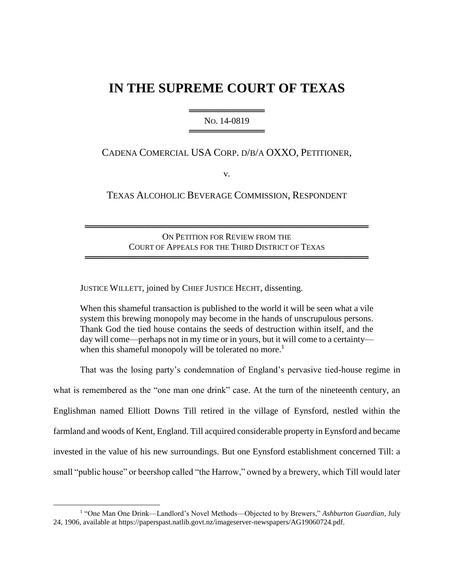# **IN THE SUPREME COURT OF TEXAS**

═══════════════════════ NO. 14-0819 ══════════════════════════

CADENA COMERCIAL USA CORP. D/B/A OXXO, PETITIONER,

v.

TEXAS ALCOHOLIC BEVERAGE COMMISSION, RESPONDENT

ON PETITION FOR REVIEW FROM THE COURT OF APPEALS FOR THE THIRD DISTRICT OF TEXAS

═════════════════════════════════════════════

═════════════════════════════════════════════

JUSTICE WILLETT, joined by CHIEF JUSTICE HECHT, dissenting.

When this shameful transaction is published to the world it will be seen what a vile system this brewing monopoly may become in the hands of unscrupulous persons. Thank God the tied house contains the seeds of destruction within itself, and the day will come—perhaps not in my time or in yours, but it will come to a certainty when this shameful monopoly will be tolerated no more.<sup>1</sup>

That was the losing party's condemnation of England's pervasive tied-house regime in what is remembered as the "one man one drink" case. At the turn of the nineteenth century, an Englishman named Elliott Downs Till retired in the village of Eynsford, nestled within the farmland and woods of Kent, England. Till acquired considerable property in Eynsford and became invested in the value of his new surroundings. But one Eynsford establishment concerned Till: a small "public house" or beershop called "the Harrow," owned by a brewery, which Till would later

<sup>&</sup>lt;sup>1</sup> "One Man One Drink—Landlord's Novel Methods—Objected to by Brewers," Ashburton Guardian, July 24, 1906, available at https://paperspast.natlib.govt.nz/imageserver-newspapers/AG19060724.pdf.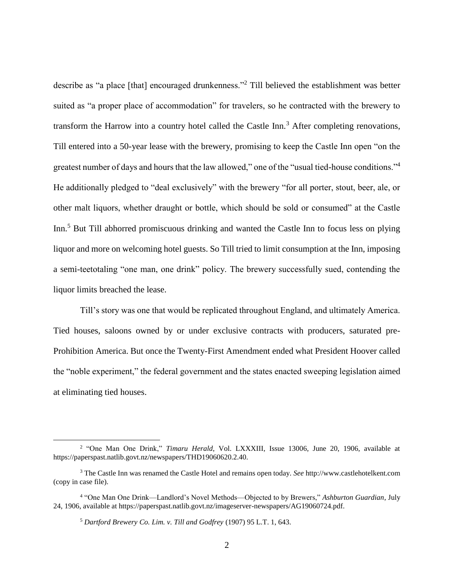describe as "a place [that] encouraged drunkenness."<sup>2</sup> Till believed the establishment was better suited as "a proper place of accommodation" for travelers, so he contracted with the brewery to transform the Harrow into a country hotel called the Castle Inn.<sup>3</sup> After completing renovations, Till entered into a 50-year lease with the brewery, promising to keep the Castle Inn open "on the greatest number of days and hours that the law allowed," one of the "usual tied-house conditions."<sup>4</sup> He additionally pledged to "deal exclusively" with the brewery "for all porter, stout, beer, ale, or other malt liquors, whether draught or bottle, which should be sold or consumed" at the Castle Inn.<sup>5</sup> But Till abhorred promiscuous drinking and wanted the Castle Inn to focus less on plying liquor and more on welcoming hotel guests. So Till tried to limit consumption at the Inn, imposing a semi-teetotaling "one man, one drink" policy. The brewery successfully sued, contending the liquor limits breached the lease.

Till's story was one that would be replicated throughout England, and ultimately America. Tied houses, saloons owned by or under exclusive contracts with producers, saturated pre-Prohibition America. But once the Twenty-First Amendment ended what President Hoover called the "noble experiment," the federal government and the states enacted sweeping legislation aimed at eliminating tied houses.

<sup>2</sup> "One Man One Drink," *Timaru Herald*, Vol. LXXXIII, Issue 13006, June 20, 1906, available at https://paperspast.natlib.govt.nz/newspapers/THD19060620.2.40.

<sup>3</sup> The Castle Inn was renamed the Castle Hotel and remains open today. *See* http://www.castlehotelkent.com (copy in case file).

<sup>4</sup> "One Man One Drink—Landlord's Novel Methods—Objected to by Brewers," *Ashburton Guardian*, July 24, 1906, available at https://paperspast.natlib.govt.nz/imageserver-newspapers/AG19060724.pdf.

<sup>5</sup> *Dartford Brewery Co. Lim. v. Till and Godfrey* (1907) 95 L.T. 1, 643.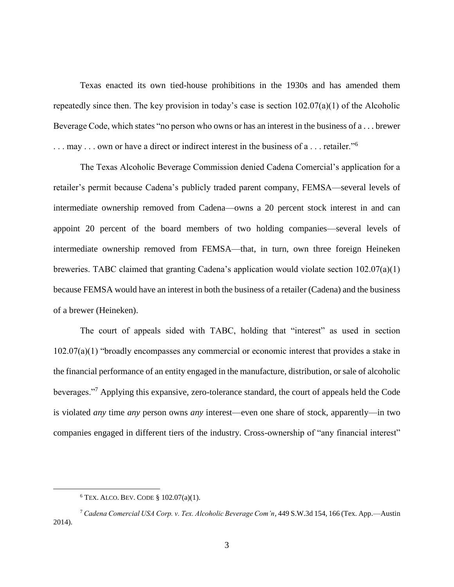Texas enacted its own tied-house prohibitions in the 1930s and has amended them repeatedly since then. The key provision in today's case is section 102.07(a)(1) of the Alcoholic Beverage Code, which states "no person who owns or has an interest in the business of a . . . brewer ... may ... own or have a direct or indirect interest in the business of a ... retailer."<sup>6</sup>

The Texas Alcoholic Beverage Commission denied Cadena Comercial's application for a retailer's permit because Cadena's publicly traded parent company, FEMSA—several levels of intermediate ownership removed from Cadena—owns a 20 percent stock interest in and can appoint 20 percent of the board members of two holding companies—several levels of intermediate ownership removed from FEMSA—that, in turn, own three foreign Heineken breweries. TABC claimed that granting Cadena's application would violate section 102.07(a)(1) because FEMSA would have an interest in both the business of a retailer (Cadena) and the business of a brewer (Heineken).

The court of appeals sided with TABC, holding that "interest" as used in section 102.07(a)(1) "broadly encompasses any commercial or economic interest that provides a stake in the financial performance of an entity engaged in the manufacture, distribution, or sale of alcoholic beverages."<sup>7</sup> Applying this expansive, zero-tolerance standard, the court of appeals held the Code is violated *any* time *any* person owns *any* interest—even one share of stock, apparently—in two companies engaged in different tiers of the industry. Cross-ownership of "any financial interest"

 $6$  TEX. ALCO. BEV. CODE § 102.07(a)(1).

<sup>7</sup> *Cadena Comercial USA Corp. v. Tex. Alcoholic Beverage Com'n*, 449 S.W.3d 154, 166 (Tex. App.—Austin 2014).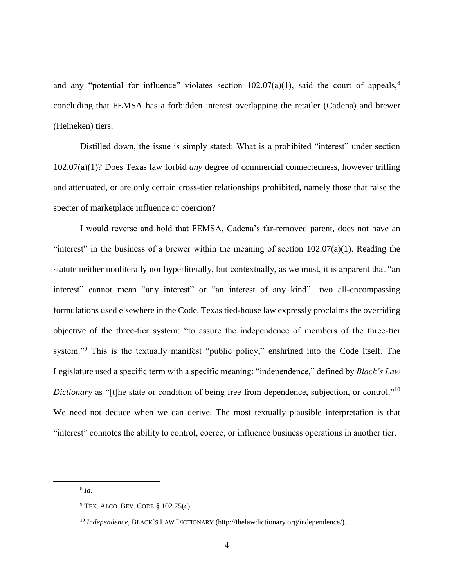and any "potential for influence" violates section  $102.07(a)(1)$ , said the court of appeals.<sup>8</sup> concluding that FEMSA has a forbidden interest overlapping the retailer (Cadena) and brewer (Heineken) tiers.

Distilled down, the issue is simply stated: What is a prohibited "interest" under section 102.07(a)(1)? Does Texas law forbid *any* degree of commercial connectedness, however trifling and attenuated, or are only certain cross-tier relationships prohibited, namely those that raise the specter of marketplace influence or coercion?

I would reverse and hold that FEMSA, Cadena's far-removed parent, does not have an "interest" in the business of a brewer within the meaning of section  $102.07(a)(1)$ . Reading the statute neither nonliterally nor hyperliterally, but contextually, as we must, it is apparent that "an interest" cannot mean "any interest" or "an interest of any kind"—two all-encompassing formulations used elsewhere in the Code. Texas tied-house law expressly proclaims the overriding objective of the three-tier system: "to assure the independence of members of the three-tier system."<sup>9</sup> This is the textually manifest "public policy," enshrined into the Code itself. The Legislature used a specific term with a specific meaning: "independence," defined by *Black's Law Dictionary* as "[t]he state or condition of being free from dependence, subjection, or control."<sup>10</sup> We need not deduce when we can derive. The most textually plausible interpretation is that "interest" connotes the ability to control, coerce, or influence business operations in another tier.

8 *Id*.

 $9$  TEX. ALCO. BEV. CODE § 102.75(c).

<sup>10</sup> *Independence*, BLACK'S LAW DICTIONARY (http://thelawdictionary.org/independence/).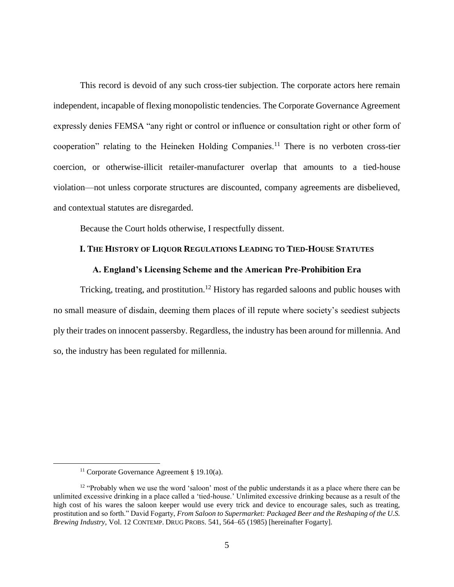This record is devoid of any such cross-tier subjection. The corporate actors here remain independent, incapable of flexing monopolistic tendencies. The Corporate Governance Agreement expressly denies FEMSA "any right or control or influence or consultation right or other form of cooperation" relating to the Heineken Holding Companies.<sup>11</sup> There is no verboten cross-tier coercion, or otherwise-illicit retailer-manufacturer overlap that amounts to a tied-house violation—not unless corporate structures are discounted, company agreements are disbelieved, and contextual statutes are disregarded.

Because the Court holds otherwise, I respectfully dissent.

## **I. THE HISTORY OF LIQUOR REGULATIONS LEADING TO TIED-HOUSE STATUTES**

#### **A. England's Licensing Scheme and the American Pre-Prohibition Era**

Tricking, treating, and prostitution.<sup>12</sup> History has regarded saloons and public houses with no small measure of disdain, deeming them places of ill repute where society's seediest subjects ply their trades on innocent passersby. Regardless, the industry has been around for millennia. And so, the industry has been regulated for millennia.

<sup>&</sup>lt;sup>11</sup> Corporate Governance Agreement § 19.10(a).

<sup>&</sup>lt;sup>12</sup> "Probably when we use the word 'saloon' most of the public understands it as a place where there can be unlimited excessive drinking in a place called a 'tied-house.' Unlimited excessive drinking because as a result of the high cost of his wares the saloon keeper would use every trick and device to encourage sales, such as treating, prostitution and so forth." David Fogarty, *From Saloon to Supermarket: Packaged Beer and the Reshaping of the U.S. Brewing Industry*, Vol. 12 CONTEMP. DRUG PROBS. 541, 564–65 (1985) [hereinafter Fogarty].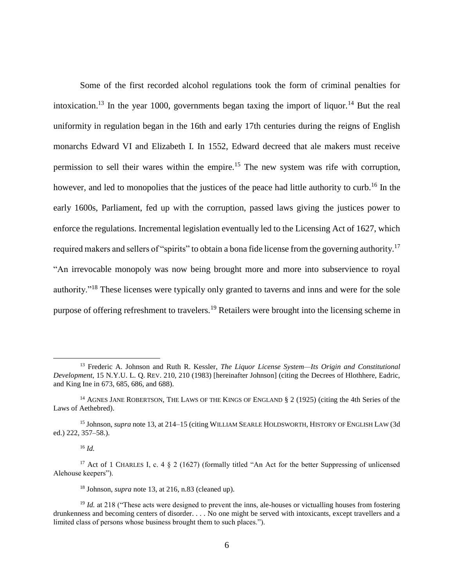Some of the first recorded alcohol regulations took the form of criminal penalties for intoxication.<sup>13</sup> In the year 1000, governments began taxing the import of liquor.<sup>14</sup> But the real uniformity in regulation began in the 16th and early 17th centuries during the reigns of English monarchs Edward VI and Elizabeth I. In 1552, Edward decreed that ale makers must receive permission to sell their wares within the empire.<sup>15</sup> The new system was rife with corruption, however, and led to monopolies that the justices of the peace had little authority to curb.<sup>16</sup> In the early 1600s, Parliament, fed up with the corruption, passed laws giving the justices power to enforce the regulations. Incremental legislation eventually led to the Licensing Act of 1627, which required makers and sellers of "spirits" to obtain a bona fide license from the governing authority.<sup>17</sup> "An irrevocable monopoly was now being brought more and more into subservience to royal authority."<sup>18</sup> These licenses were typically only granted to taverns and inns and were for the sole purpose of offering refreshment to travelers.<sup>19</sup> Retailers were brought into the licensing scheme in

<sup>16</sup> *Id.*

 $\overline{a}$ 

<sup>18</sup> Johnson, *supra* note 13, at 216, n.83 (cleaned up).

<sup>13</sup> Frederic A. Johnson and Ruth R. Kessler, *The Liquor License System—Its Origin and Constitutional Development*, 15 N.Y.U. L. Q. REV. 210, 210 (1983) [hereinafter Johnson] (citing the Decrees of Hlothhere, Eadric, and King Ine in 673, 685, 686, and 688).

<sup>&</sup>lt;sup>14</sup> AGNES JANE ROBERTSON, THE LAWS OF THE KINGS OF ENGLAND § 2 (1925) (citing the 4th Series of the Laws of Aethebred).

<sup>15</sup> Johnson, *supra* note 13, at 214–15 (citing WILLIAM SEARLE HOLDSWORTH, HISTORY OF ENGLISH LAW (3d ed.) 222, 357–58.).

<sup>&</sup>lt;sup>17</sup> Act of 1 CHARLES I, c. 4  $\S$  2 (1627) (formally titled "An Act for the better Suppressing of unlicensed Alehouse keepers").

<sup>&</sup>lt;sup>19</sup> *Id.* at 218 ("These acts were designed to prevent the inns, ale-houses or victualling houses from fostering drunkenness and becoming centers of disorder. . . . No one might be served with intoxicants, except travellers and a limited class of persons whose business brought them to such places.").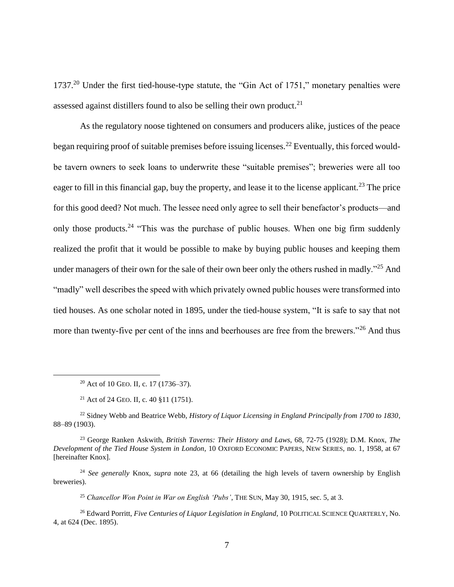1737.<sup>20</sup> Under the first tied-house-type statute, the "Gin Act of 1751," monetary penalties were assessed against distillers found to also be selling their own product.<sup>21</sup>

As the regulatory noose tightened on consumers and producers alike, justices of the peace began requiring proof of suitable premises before issuing licenses.<sup>22</sup> Eventually, this forced wouldbe tavern owners to seek loans to underwrite these "suitable premises"; breweries were all too eager to fill in this financial gap, buy the property, and lease it to the license applicant.<sup>23</sup> The price for this good deed? Not much. The lessee need only agree to sell their benefactor's products—and only those products.<sup>24</sup> "This was the purchase of public houses. When one big firm suddenly realized the profit that it would be possible to make by buying public houses and keeping them under managers of their own for the sale of their own beer only the others rushed in madly."<sup>25</sup> And "madly" well describes the speed with which privately owned public houses were transformed into tied houses. As one scholar noted in 1895, under the tied-house system, "It is safe to say that not more than twenty-five per cent of the inns and beerhouses are free from the brewers."<sup>26</sup> And thus

<sup>20</sup> Act of 10 GEO. II, c. 17 (1736–37).

 $\overline{a}$ 

<sup>22</sup> Sidney Webb and Beatrice Webb, *History of Liquor Licensing in England Principally from 1700 to 1830*, 88–89 (1903).

<sup>23</sup> George Ranken Askwith, *British Taverns: Their History and Laws*, 68, 72-75 (1928); D.M. Knox, *The Development of the Tied House System in London*, 10 OXFORD ECONOMIC PAPERS, NEW SERIES, no. 1, 1958, at 67 [hereinafter Knox].

<sup>24</sup> *See generally* Knox, *supra* note 23, at 66 (detailing the high levels of tavern ownership by English breweries).

<sup>25</sup> *Chancellor Won Point in War on English 'Pubs'*, THE SUN, May 30, 1915, sec. 5, at 3.

<sup>26</sup> Edward Porritt, *Five Centuries of Liquor Legislation in England*, 10 POLITICAL SCIENCE QUARTERLY, No. 4, at 624 (Dec. 1895).

<sup>21</sup> Act of 24 GEO. II, c. 40 §11 (1751).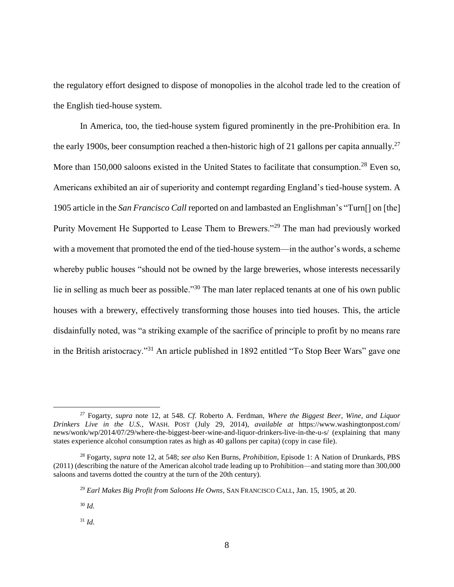the regulatory effort designed to dispose of monopolies in the alcohol trade led to the creation of the English tied-house system.

In America, too, the tied-house system figured prominently in the pre-Prohibition era. In the early 1900s, beer consumption reached a then-historic high of 21 gallons per capita annually.<sup>27</sup> More than 150,000 saloons existed in the United States to facilitate that consumption.<sup>28</sup> Even so, Americans exhibited an air of superiority and contempt regarding England's tied-house system. A 1905 article in the *San Francisco Call* reported on and lambasted an Englishman's "Turn[] on [the] Purity Movement He Supported to Lease Them to Brewers."<sup>29</sup> The man had previously worked with a movement that promoted the end of the tied-house system—in the author's words, a scheme whereby public houses "should not be owned by the large breweries, whose interests necessarily lie in selling as much beer as possible."<sup>30</sup> The man later replaced tenants at one of his own public houses with a brewery, effectively transforming those houses into tied houses. This, the article disdainfully noted, was "a striking example of the sacrifice of principle to profit by no means rare in the British aristocracy."<sup>31</sup> An article published in 1892 entitled "To Stop Beer Wars" gave one

<sup>27</sup> Fogarty, *supra* note 12, at 548. *Cf.* Roberto A. Ferdman, *Where the Biggest Beer, Wine, and Liquor Drinkers Live in the U.S.*, WASH. POST (July 29, 2014), *available at* https://www.washingtonpost.com/ news/wonk/wp/2014/07/29/where-the-biggest-beer-wine-and-liquor-drinkers-live-in-the-u-s/ (explaining that many states experience alcohol consumption rates as high as 40 gallons per capita) (copy in case file).

<sup>28</sup> Fogarty, *supra* note 12, at 548; *see also* Ken Burns, *Prohibition*, Episode 1: A Nation of Drunkards, PBS (2011) (describing the nature of the American alcohol trade leading up to Prohibition—and stating more than 300,000 saloons and taverns dotted the country at the turn of the 20th century).

<sup>29</sup> *Earl Makes Big Profit from Saloons He Owns*, SAN FRANCISCO CALL, Jan. 15, 1905, at 20.

<sup>30</sup> *Id.*

<sup>31</sup> *Id.*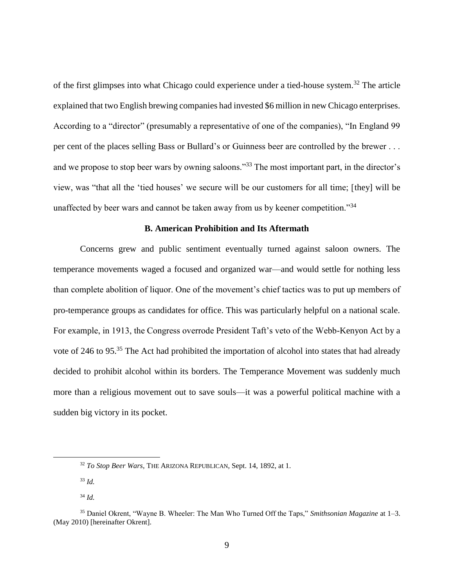of the first glimpses into what Chicago could experience under a tied-house system.<sup>32</sup> The article explained that two English brewing companies had invested \$6 million in new Chicago enterprises. According to a "director" (presumably a representative of one of the companies), "In England 99 per cent of the places selling Bass or Bullard's or Guinness beer are controlled by the brewer . . . and we propose to stop beer wars by owning saloons."<sup>33</sup> The most important part, in the director's view, was "that all the 'tied houses' we secure will be our customers for all time; [they] will be unaffected by beer wars and cannot be taken away from us by keener competition."<sup>34</sup>

## **B. American Prohibition and Its Aftermath**

Concerns grew and public sentiment eventually turned against saloon owners. The temperance movements waged a focused and organized war—and would settle for nothing less than complete abolition of liquor. One of the movement's chief tactics was to put up members of pro-temperance groups as candidates for office. This was particularly helpful on a national scale. For example, in 1913, the Congress overrode President Taft's veto of the Webb-Kenyon Act by a vote of 246 to 95.<sup>35</sup> The Act had prohibited the importation of alcohol into states that had already decided to prohibit alcohol within its borders. The Temperance Movement was suddenly much more than a religious movement out to save souls—it was a powerful political machine with a sudden big victory in its pocket.

<sup>32</sup> *To Stop Beer Wars*, THE ARIZONA REPUBLICAN, Sept. 14, 1892, at 1.

<sup>33</sup> *Id.*

<sup>34</sup> *Id.*

<sup>35</sup> Daniel Okrent, "Wayne B. Wheeler: The Man Who Turned Off the Taps," *Smithsonian Magazine* at 1–3. (May 2010) [hereinafter Okrent].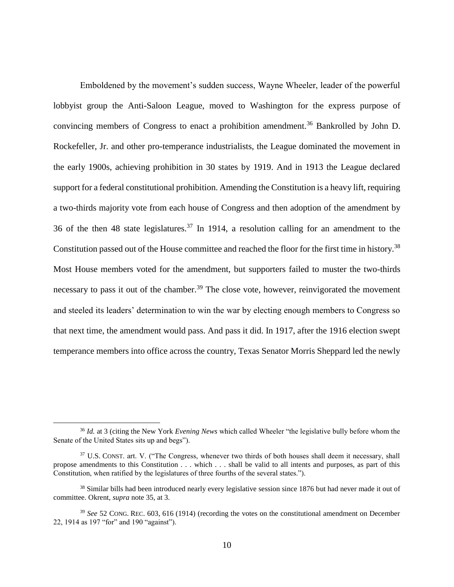Emboldened by the movement's sudden success, Wayne Wheeler, leader of the powerful lobbyist group the Anti-Saloon League, moved to Washington for the express purpose of convincing members of Congress to enact a prohibition amendment.<sup>36</sup> Bankrolled by John D. Rockefeller, Jr. and other pro-temperance industrialists, the League dominated the movement in the early 1900s, achieving prohibition in 30 states by 1919. And in 1913 the League declared support for a federal constitutional prohibition. Amending the Constitution is a heavy lift, requiring a two-thirds majority vote from each house of Congress and then adoption of the amendment by 36 of the then 48 state legislatures.<sup>37</sup> In 1914, a resolution calling for an amendment to the Constitution passed out of the House committee and reached the floor for the first time in history.<sup>38</sup> Most House members voted for the amendment, but supporters failed to muster the two-thirds necessary to pass it out of the chamber.<sup>39</sup> The close vote, however, reinvigorated the movement and steeled its leaders' determination to win the war by electing enough members to Congress so that next time, the amendment would pass. And pass it did. In 1917, after the 1916 election swept temperance members into office across the country, Texas Senator Morris Sheppard led the newly

<sup>36</sup> *Id.* at 3 (citing the New York *Evening News* which called Wheeler "the legislative bully before whom the Senate of the United States sits up and begs").

<sup>&</sup>lt;sup>37</sup> U.S. CONST. art. V. ("The Congress, whenever two thirds of both houses shall deem it necessary, shall propose amendments to this Constitution . . . which . . . shall be valid to all intents and purposes, as part of this Constitution, when ratified by the legislatures of three fourths of the several states.").

<sup>38</sup> Similar bills had been introduced nearly every legislative session since 1876 but had never made it out of committee. Okrent, *supra* note 35, at 3.

<sup>39</sup> *See* 52 CONG. REC. 603, 616 (1914) (recording the votes on the constitutional amendment on December 22, 1914 as 197 "for" and 190 "against").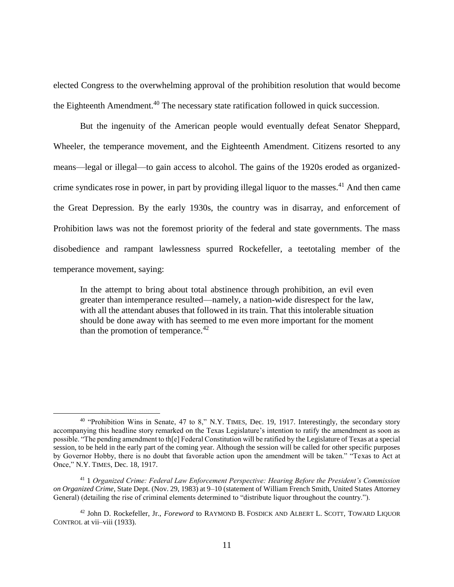elected Congress to the overwhelming approval of the prohibition resolution that would become the Eighteenth Amendment.<sup>40</sup> The necessary state ratification followed in quick succession.

But the ingenuity of the American people would eventually defeat Senator Sheppard, Wheeler, the temperance movement, and the Eighteenth Amendment. Citizens resorted to any means—legal or illegal—to gain access to alcohol. The gains of the 1920s eroded as organizedcrime syndicates rose in power, in part by providing illegal liquor to the masses.<sup>41</sup> And then came the Great Depression. By the early 1930s, the country was in disarray, and enforcement of Prohibition laws was not the foremost priority of the federal and state governments. The mass disobedience and rampant lawlessness spurred Rockefeller, a teetotaling member of the temperance movement, saying:

In the attempt to bring about total abstinence through prohibition, an evil even greater than intemperance resulted—namely, a nation-wide disrespect for the law, with all the attendant abuses that followed in its train. That this intolerable situation should be done away with has seemed to me even more important for the moment than the promotion of temperance. $42$ 

<sup>&</sup>lt;sup>40</sup> "Prohibition Wins in Senate, 47 to 8," N.Y. TIMES, Dec. 19, 1917. Interestingly, the secondary story accompanying this headline story remarked on the Texas Legislature's intention to ratify the amendment as soon as possible. "The pending amendment to th[e] Federal Constitution will be ratified by the Legislature of Texas at a special session, to be held in the early part of the coming year. Although the session will be called for other specific purposes by Governor Hobby, there is no doubt that favorable action upon the amendment will be taken." "Texas to Act at Once," N.Y. TIMES, Dec. 18, 1917.

<sup>41</sup> 1 *Organized Crime: Federal Law Enforcement Perspective: Hearing Before the President's Commission on Organized Crime*, State Dept. (Nov. 29, 1983) at 9–10 (statement of William French Smith, United States Attorney General) (detailing the rise of criminal elements determined to "distribute liquor throughout the country.").

<sup>42</sup> John D. Rockefeller, Jr., *Foreword* to RAYMOND B. FOSDICK AND ALBERT L. SCOTT, TOWARD LIQUOR CONTROL at vii–viii (1933).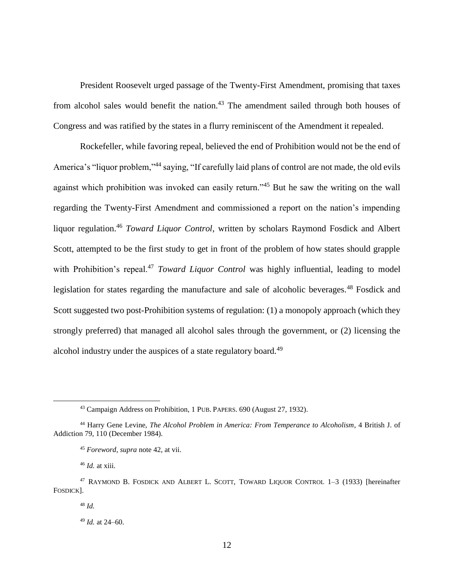President Roosevelt urged passage of the Twenty-First Amendment, promising that taxes from alcohol sales would benefit the nation.<sup>43</sup> The amendment sailed through both houses of Congress and was ratified by the states in a flurry reminiscent of the Amendment it repealed.

Rockefeller, while favoring repeal, believed the end of Prohibition would not be the end of America's "liquor problem,"<sup>44</sup> saying, "If carefully laid plans of control are not made, the old evils against which prohibition was invoked can easily return.<sup>345</sup> But he saw the writing on the wall regarding the Twenty-First Amendment and commissioned a report on the nation's impending liquor regulation.<sup>46</sup> *Toward Liquor Control*, written by scholars Raymond Fosdick and Albert Scott, attempted to be the first study to get in front of the problem of how states should grapple with Prohibition's repeal.<sup>47</sup> *Toward Liquor Control* was highly influential, leading to model legislation for states regarding the manufacture and sale of alcoholic beverages.<sup>48</sup> Fosdick and Scott suggested two post-Prohibition systems of regulation: (1) a monopoly approach (which they strongly preferred) that managed all alcohol sales through the government, or (2) licensing the alcohol industry under the auspices of a state regulatory board.<sup>49</sup>

<sup>46</sup> *Id.* at xiii.

<sup>43</sup> Campaign Address on Prohibition, 1 PUB. PAPERS. 690 (August 27, 1932).

<sup>44</sup> Harry Gene Levine, *The Alcohol Problem in America: From Temperance to Alcoholism*, 4 British J. of Addiction 79, 110 (December 1984).

<sup>45</sup> *Foreword*, *supra* note 42, at vii.

<sup>47</sup> RAYMOND B. FOSDICK AND ALBERT L. SCOTT, TOWARD LIQUOR CONTROL 1–3 (1933) [hereinafter FOSDICK].

<sup>48</sup> *Id.*

<sup>49</sup> *Id.* at 24–60.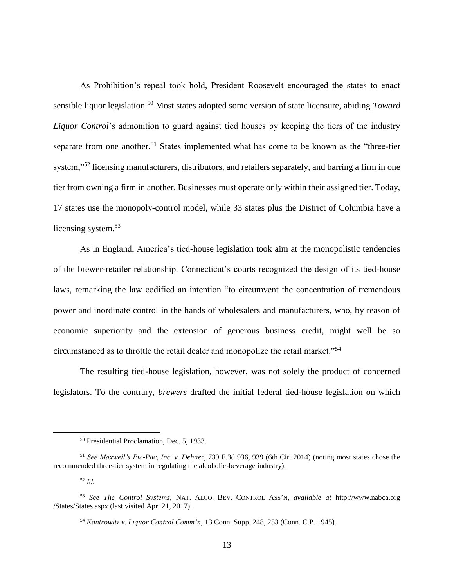As Prohibition's repeal took hold, President Roosevelt encouraged the states to enact sensible liquor legislation.<sup>50</sup> Most states adopted some version of state licensure, abiding *Toward Liquor Control*'s admonition to guard against tied houses by keeping the tiers of the industry separate from one another.<sup>51</sup> States implemented what has come to be known as the "three-tier" system,"<sup>52</sup> licensing manufacturers, distributors, and retailers separately, and barring a firm in one tier from owning a firm in another. Businesses must operate only within their assigned tier. Today, 17 states use the monopoly-control model, while 33 states plus the District of Columbia have a licensing system.<sup>53</sup>

As in England, America's tied-house legislation took aim at the monopolistic tendencies of the brewer-retailer relationship. Connecticut's courts recognized the design of its tied-house laws, remarking the law codified an intention "to circumvent the concentration of tremendous power and inordinate control in the hands of wholesalers and manufacturers, who, by reason of economic superiority and the extension of generous business credit, might well be so circumstanced as to throttle the retail dealer and monopolize the retail market."<sup>54</sup>

The resulting tied-house legislation, however, was not solely the product of concerned legislators. To the contrary, *brewers* drafted the initial federal tied-house legislation on which

<sup>52</sup> *Id.*

<sup>50</sup> Presidential Proclamation, Dec. 5, 1933.

<sup>51</sup> *See Maxwell's Pic-Pac, Inc. v. Dehner*, 739 F.3d 936, 939 (6th Cir. 2014) (noting most states chose the recommended three-tier system in regulating the alcoholic-beverage industry).

<sup>53</sup> *See The Control Systems*, NAT. ALCO. BEV. CONTROL ASS'N, *available at* http://www.nabca.org /States/States.aspx (last visited Apr. 21, 2017).

<sup>54</sup> *Kantrowitz v. Liquor Control Comm'n*, 13 Conn. Supp. 248, 253 (Conn. C.P. 1945).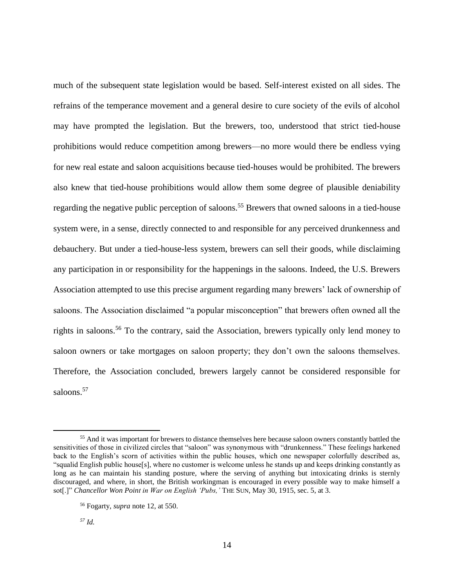much of the subsequent state legislation would be based. Self-interest existed on all sides. The refrains of the temperance movement and a general desire to cure society of the evils of alcohol may have prompted the legislation. But the brewers, too, understood that strict tied-house prohibitions would reduce competition among brewers—no more would there be endless vying for new real estate and saloon acquisitions because tied-houses would be prohibited. The brewers also knew that tied-house prohibitions would allow them some degree of plausible deniability regarding the negative public perception of saloons.<sup>55</sup> Brewers that owned saloons in a tied-house system were, in a sense, directly connected to and responsible for any perceived drunkenness and debauchery. But under a tied-house-less system, brewers can sell their goods, while disclaiming any participation in or responsibility for the happenings in the saloons. Indeed, the U.S. Brewers Association attempted to use this precise argument regarding many brewers' lack of ownership of saloons. The Association disclaimed "a popular misconception" that brewers often owned all the rights in saloons.<sup>56</sup> To the contrary, said the Association, brewers typically only lend money to saloon owners or take mortgages on saloon property; they don't own the saloons themselves. Therefore, the Association concluded, brewers largely cannot be considered responsible for saloons.<sup>57</sup>

<sup>&</sup>lt;sup>55</sup> And it was important for brewers to distance themselves here because saloon owners constantly battled the sensitivities of those in civilized circles that "saloon" was synonymous with "drunkenness." These feelings harkened back to the English's scorn of activities within the public houses, which one newspaper colorfully described as, "squalid English public house[s], where no customer is welcome unless he stands up and keeps drinking constantly as long as he can maintain his standing posture, where the serving of anything but intoxicating drinks is sternly discouraged, and where, in short, the British workingman is encouraged in every possible way to make himself a sot[.]" *Chancellor Won Point in War on English 'Pubs,'* THE SUN, May 30, 1915, sec. 5, at 3.

<sup>56</sup> Fogarty, *supra* note 12, at 550.

*<sup>57</sup> Id.*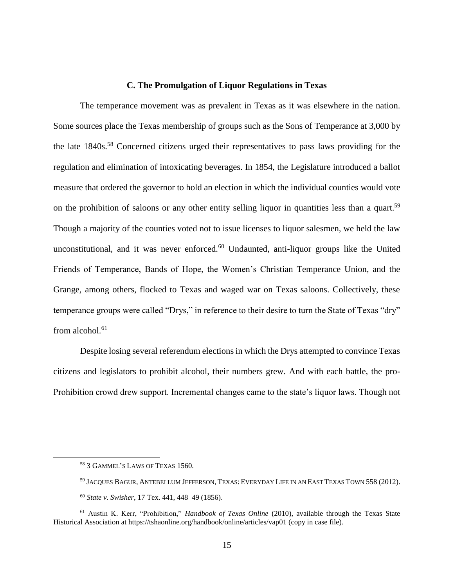## **C. The Promulgation of Liquor Regulations in Texas**

The temperance movement was as prevalent in Texas as it was elsewhere in the nation. Some sources place the Texas membership of groups such as the Sons of Temperance at 3,000 by the late 1840s.<sup>58</sup> Concerned citizens urged their representatives to pass laws providing for the regulation and elimination of intoxicating beverages. In 1854, the Legislature introduced a ballot measure that ordered the governor to hold an election in which the individual counties would vote on the prohibition of saloons or any other entity selling liquor in quantities less than a quart.<sup>59</sup> Though a majority of the counties voted not to issue licenses to liquor salesmen, we held the law unconstitutional, and it was never enforced. $60$  Undaunted, anti-liquor groups like the United Friends of Temperance, Bands of Hope, the Women's Christian Temperance Union, and the Grange, among others, flocked to Texas and waged war on Texas saloons. Collectively, these temperance groups were called "Drys," in reference to their desire to turn the State of Texas "dry" from alcohol. $61$ 

Despite losing several referendum elections in which the Drys attempted to convince Texas citizens and legislators to prohibit alcohol, their numbers grew. And with each battle, the pro-Prohibition crowd drew support. Incremental changes came to the state's liquor laws. Though not

<sup>58</sup> 3 GAMMEL'S LAWS OF TEXAS 1560.

<sup>59</sup> JACQUES BAGUR, ANTEBELLUM JEFFERSON, TEXAS: EVERYDAY LIFE IN AN EAST TEXAS TOWN 558 (2012).

<sup>60</sup> *State v. Swisher*, 17 Tex. 441, 448–49 (1856).

<sup>61</sup> Austin K. Kerr, "Prohibition," *Handbook of Texas Online* (2010), available through the Texas State Historical Association at https://tshaonline.org/handbook/online/articles/vap01 (copy in case file).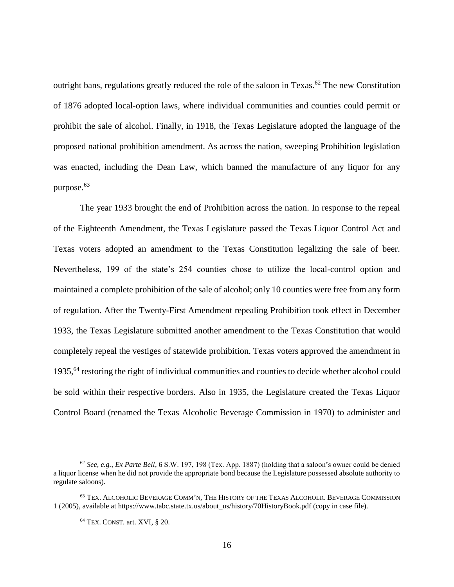outright bans, regulations greatly reduced the role of the saloon in Texas.<sup>62</sup> The new Constitution of 1876 adopted local-option laws, where individual communities and counties could permit or prohibit the sale of alcohol. Finally, in 1918, the Texas Legislature adopted the language of the proposed national prohibition amendment. As across the nation, sweeping Prohibition legislation was enacted, including the Dean Law, which banned the manufacture of any liquor for any purpose.<sup>63</sup>

The year 1933 brought the end of Prohibition across the nation. In response to the repeal of the Eighteenth Amendment, the Texas Legislature passed the Texas Liquor Control Act and Texas voters adopted an amendment to the Texas Constitution legalizing the sale of beer. Nevertheless, 199 of the state's 254 counties chose to utilize the local-control option and maintained a complete prohibition of the sale of alcohol; only 10 counties were free from any form of regulation. After the Twenty-First Amendment repealing Prohibition took effect in December 1933, the Texas Legislature submitted another amendment to the Texas Constitution that would completely repeal the vestiges of statewide prohibition. Texas voters approved the amendment in 1935,<sup>64</sup> restoring the right of individual communities and counties to decide whether alcohol could be sold within their respective borders. Also in 1935, the Legislature created the Texas Liquor Control Board (renamed the Texas Alcoholic Beverage Commission in 1970) to administer and

<sup>62</sup> *See, e.g.*, *Ex Parte Bell*, 6 S.W. 197, 198 (Tex. App. 1887) (holding that a saloon's owner could be denied a liquor license when he did not provide the appropriate bond because the Legislature possessed absolute authority to regulate saloons).

<sup>63</sup> TEX. ALCOHOLIC BEVERAGE COMM'N, THE HISTORY OF THE TEXAS ALCOHOLIC BEVERAGE COMMISSION 1 (2005), available at https://www.tabc.state.tx.us/about\_us/history/70HistoryBook.pdf (copy in case file).

<sup>64</sup> TEX. CONST. art. XVI, § 20.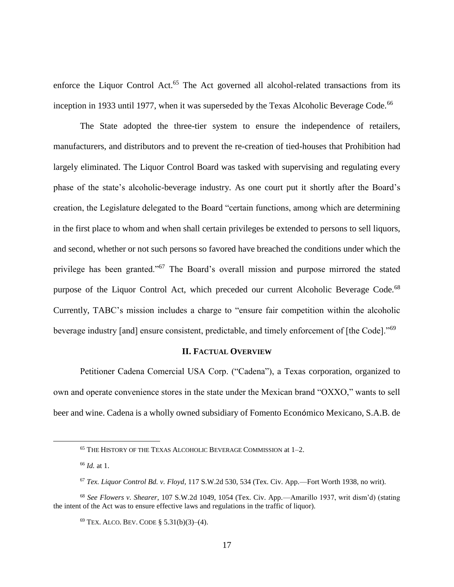enforce the Liquor Control Act.<sup>65</sup> The Act governed all alcohol-related transactions from its inception in 1933 until 1977, when it was superseded by the Texas Alcoholic Beverage Code.<sup>66</sup>

The State adopted the three-tier system to ensure the independence of retailers, manufacturers, and distributors and to prevent the re-creation of tied-houses that Prohibition had largely eliminated. The Liquor Control Board was tasked with supervising and regulating every phase of the state's alcoholic-beverage industry. As one court put it shortly after the Board's creation, the Legislature delegated to the Board "certain functions, among which are determining in the first place to whom and when shall certain privileges be extended to persons to sell liquors, and second, whether or not such persons so favored have breached the conditions under which the privilege has been granted."<sup>67</sup> The Board's overall mission and purpose mirrored the stated purpose of the Liquor Control Act, which preceded our current Alcoholic Beverage Code.<sup>68</sup> Currently, TABC's mission includes a charge to "ensure fair competition within the alcoholic beverage industry [and] ensure consistent, predictable, and timely enforcement of [the Code]."<sup>69</sup>

# **II. FACTUAL OVERVIEW**

Petitioner Cadena Comercial USA Corp. ("Cadena"), a Texas corporation, organized to own and operate convenience stores in the state under the Mexican brand "OXXO," wants to sell beer and wine. Cadena is a wholly owned subsidiary of Fomento Económico Mexicano, S.A.B. de

<sup>65</sup> THE HISTORY OF THE TEXAS ALCOHOLIC BEVERAGE COMMISSION at 1–2.

<sup>66</sup> *Id.* at 1.

<sup>67</sup> *Tex. Liquor Control Bd. v. Floyd*, 117 S.W.2d 530, 534 (Tex. Civ. App.—Fort Worth 1938, no writ).

<sup>68</sup> *See Flowers v. Shearer*, 107 S.W.2d 1049, 1054 (Tex. Civ. App.—Amarillo 1937, writ dism'd) (stating the intent of the Act was to ensure effective laws and regulations in the traffic of liquor).

<sup>69</sup> TEX. ALCO. BEV. CODE § 5.31(b)(3)–(4).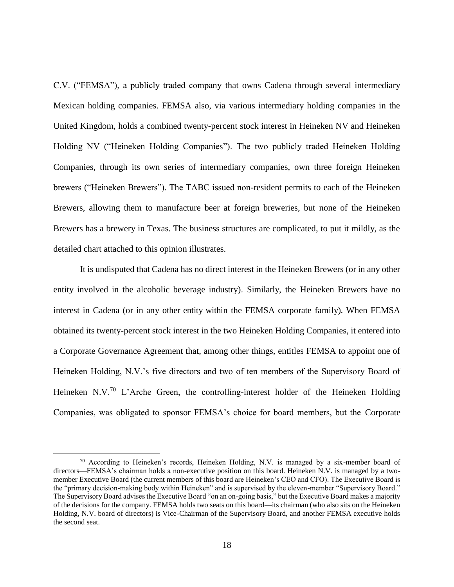C.V. ("FEMSA"), a publicly traded company that owns Cadena through several intermediary Mexican holding companies. FEMSA also, via various intermediary holding companies in the United Kingdom, holds a combined twenty-percent stock interest in Heineken NV and Heineken Holding NV ("Heineken Holding Companies"). The two publicly traded Heineken Holding Companies, through its own series of intermediary companies, own three foreign Heineken brewers ("Heineken Brewers"). The TABC issued non-resident permits to each of the Heineken Brewers, allowing them to manufacture beer at foreign breweries, but none of the Heineken Brewers has a brewery in Texas. The business structures are complicated, to put it mildly, as the detailed chart attached to this opinion illustrates.

It is undisputed that Cadena has no direct interest in the Heineken Brewers (or in any other entity involved in the alcoholic beverage industry). Similarly, the Heineken Brewers have no interest in Cadena (or in any other entity within the FEMSA corporate family). When FEMSA obtained its twenty-percent stock interest in the two Heineken Holding Companies, it entered into a Corporate Governance Agreement that, among other things, entitles FEMSA to appoint one of Heineken Holding, N.V.'s five directors and two of ten members of the Supervisory Board of Heineken N.V.<sup>70</sup> L'Arche Green, the controlling-interest holder of the Heineken Holding Companies, was obligated to sponsor FEMSA's choice for board members, but the Corporate

 $70$  According to Heineken's records, Heineken Holding, N.V. is managed by a six-member board of directors—FEMSA's chairman holds a non-executive position on this board. Heineken N.V. is managed by a twomember Executive Board (the current members of this board are Heineken's CEO and CFO). The Executive Board is the "primary decision-making body within Heineken" and is supervised by the eleven-member "Supervisory Board." The Supervisory Board advises the Executive Board "on an on-going basis," but the Executive Board makes a majority of the decisions for the company. FEMSA holds two seats on this board—its chairman (who also sits on the Heineken Holding, N.V. board of directors) is Vice-Chairman of the Supervisory Board, and another FEMSA executive holds the second seat.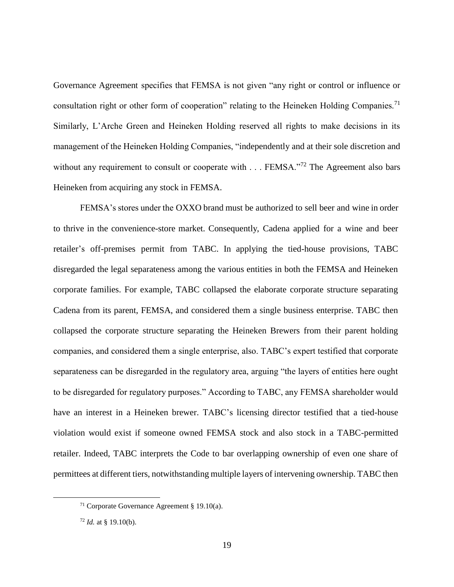Governance Agreement specifies that FEMSA is not given "any right or control or influence or consultation right or other form of cooperation" relating to the Heineken Holding Companies.<sup>71</sup> Similarly, L'Arche Green and Heineken Holding reserved all rights to make decisions in its management of the Heineken Holding Companies, "independently and at their sole discretion and without any requirement to consult or cooperate with . . . FEMSA."<sup>72</sup> The Agreement also bars Heineken from acquiring any stock in FEMSA.

FEMSA's stores under the OXXO brand must be authorized to sell beer and wine in order to thrive in the convenience-store market. Consequently, Cadena applied for a wine and beer retailer's off-premises permit from TABC. In applying the tied-house provisions, TABC disregarded the legal separateness among the various entities in both the FEMSA and Heineken corporate families. For example, TABC collapsed the elaborate corporate structure separating Cadena from its parent, FEMSA, and considered them a single business enterprise. TABC then collapsed the corporate structure separating the Heineken Brewers from their parent holding companies, and considered them a single enterprise, also. TABC's expert testified that corporate separateness can be disregarded in the regulatory area, arguing "the layers of entities here ought to be disregarded for regulatory purposes." According to TABC, any FEMSA shareholder would have an interest in a Heineken brewer. TABC's licensing director testified that a tied-house violation would exist if someone owned FEMSA stock and also stock in a TABC-permitted retailer. Indeed, TABC interprets the Code to bar overlapping ownership of even one share of permittees at different tiers, notwithstanding multiple layers of intervening ownership. TABC then

<sup>71</sup> Corporate Governance Agreement § 19.10(a).

<sup>72</sup> *Id.* at § 19.10(b).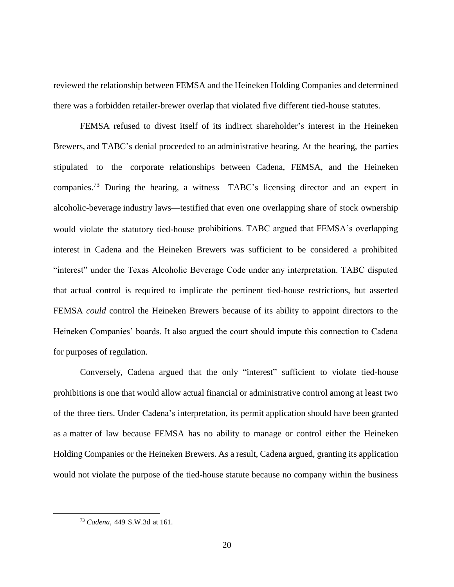reviewed the relationship between FEMSA and the Heineken Holding Companies and determined there was a forbidden retailer-brewer overlap that violated five different tied-house statutes.

FEMSA refused to divest itself of its indirect shareholder's interest in the Heineken Brewers, and TABC's denial proceeded to an administrative hearing. At the hearing, the parties stipulated to the corporate relationships between Cadena, FEMSA, and the Heineken companies.<sup>73</sup> During the hearing, a witness—TABC's licensing director and an expert in alcoholic-beverage industry laws—testified that even one overlapping share of stock ownership would violate the statutory tied-house prohibitions. TABC argued that FEMSA's overlapping interest in Cadena and the Heineken Brewers was sufficient to be considered a prohibited "interest" under the Texas Alcoholic Beverage Code under any interpretation. TABC disputed that actual control is required to implicate the pertinent tied-house restrictions, but asserted FEMSA *could* control the Heineken Brewers because of its ability to appoint directors to the Heineken Companies' boards. It also argued the court should impute this connection to Cadena for purposes of regulation.

Conversely, Cadena argued that the only "interest" sufficient to violate tied-house prohibitions is one that would allow actual financial or administrative control among at least two of the three tiers. Under Cadena's interpretation, its permit application should have been granted as a matter of law because FEMSA has no ability to manage or control either the Heineken Holding Companies or the Heineken Brewers. As a result, Cadena argued, granting its application would not violate the purpose of the tied-house statute because no company within the business

<sup>73</sup> *Cadena*, 449 S.W.3d at 161.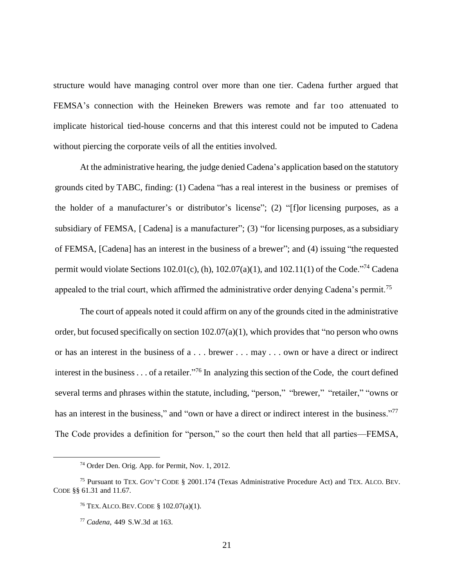structure would have managing control over more than one tier. Cadena further argued that FEMSA's connection with the Heineken Brewers was remote and far too attenuated to implicate historical tied-house concerns and that this interest could not be imputed to Cadena without piercing the corporate veils of all the entities involved.

At the administrative hearing, the judge denied Cadena's application based on the statutory grounds cited by TABC, finding: (1) Cadena "has a real interest in the business or premises of the holder of a manufacturer's or distributor's license"; (2) "[f]or licensing purposes, as a subsidiary of FEMSA, [Cadena] is a manufacturer"; (3) "for licensing purposes, as a subsidiary of FEMSA, [Cadena] has an interest in the business of a brewer"; and (4) issuing "the requested permit would violate Sections 102.01(c), (h), 102.07(a)(1), and 102.11(1) of the Code.<sup>"74</sup> Cadena appealed to the trial court, which affirmed the administrative order denying Cadena's permit.<sup>75</sup>

The court of appeals noted it could affirm on any of the grounds cited in the administrative order, but focused specifically on section  $102.07(a)(1)$ , which provides that "no person who owns or has an interest in the business of a . . . brewer . . . may . . . own or have a direct or indirect interest in the business  $\dots$  of a retailer."<sup>76</sup> In analyzing this section of the Code, the court defined several terms and phrases within the statute, including, "person," "brewer," "retailer," "owns or has an interest in the business," and "own or have a direct or indirect interest in the business."<sup>77</sup> The Code provides a definition for "person," so the court then held that all parties—FEMSA,

<sup>74</sup> Order Den. Orig. App. for Permit, Nov. 1, 2012.

<sup>75</sup> Pursuant to TEX. GOV'T CODE § 2001.174 (Texas Administrative Procedure Act) and TEX. ALCO. BEV. CODE §§ 61.31 and 11.67.

<sup>76</sup> TEX.ALCO.BEV.CODE § 102.07(a)(1).

<sup>77</sup> *Cadena*, 449 S.W.3d at 163.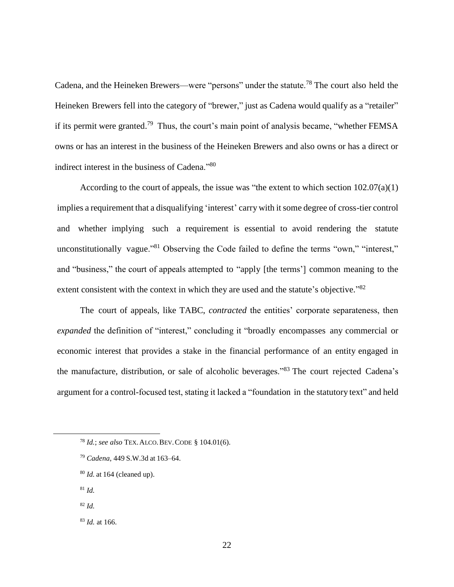Cadena, and the Heineken Brewers—were "persons" under the statute.<sup>78</sup> The court also held the Heineken Brewers fell into the category of "brewer," just as Cadena would qualify as a "retailer" if its permit were granted.<sup>79</sup> Thus, the court's main point of analysis became, "whether FEMSA owns or has an interest in the business of the Heineken Brewers and also owns or has a direct or indirect interest in the business of Cadena."<sup>80</sup>

According to the court of appeals, the issue was "the extent to which section 102.07(a)(1) implies a requirement that a disqualifying 'interest' carry with it some degree of cross-tier control and whether implying such a requirement is essential to avoid rendering the statute unconstitutionally vague.<sup>381</sup> Observing the Code failed to define the terms "own," "interest," and "business," the court of appeals attempted to "apply [the terms'] common meaning to the extent consistent with the context in which they are used and the statute's objective."<sup>82</sup>

The court of appeals, like TABC, *contracted* the entities' corporate separateness, then *expanded* the definition of "interest," concluding it "broadly encompasses any commercial or economic interest that provides a stake in the financial performance of an entity engaged in the manufacture, distribution, or sale of alcoholic beverages."<sup>83</sup> The court rejected Cadena's argument for a control-focused test, stating it lacked a "foundation in the statutory text" and held

<sup>81</sup> *Id.*

 $\overline{a}$ 

<sup>82</sup> *Id.*

<sup>78</sup> *Id.*; *see also* TEX.ALCO.BEV.CODE § 104.01(6).

<sup>79</sup> *Cadena*, 449 S.W.3d at 163–64.

<sup>80</sup> *Id.* at 164 (cleaned up).

<sup>83</sup> *Id.* at 166.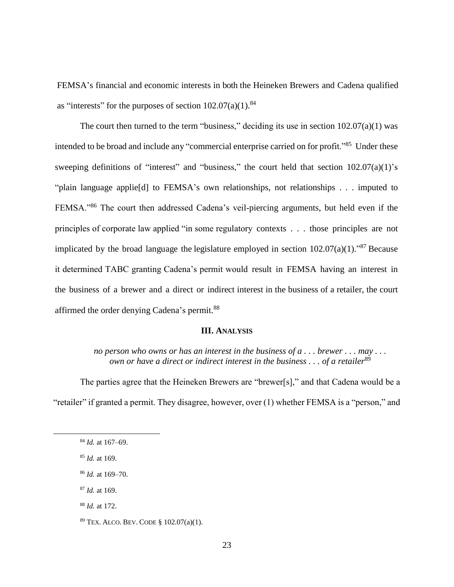FEMSA's financial and economic interests in both the Heineken Brewers and Cadena qualified as "interests" for the purposes of section  $102.07(a)(1)$ .<sup>84</sup>

The court then turned to the term "business," deciding its use in section  $102.07(a)(1)$  was intended to be broad and include any "commercial enterprise carried on for profit."<sup>85</sup> Under these sweeping definitions of "interest" and "business," the court held that section  $102.07(a)(1)$ 's "plain language applie[d] to FEMSA's own relationships, not relationships . . . imputed to FEMSA."<sup>86</sup> The court then addressed Cadena's veil-piercing arguments, but held even if the principles of corporate law applied "in some regulatory contexts . . . those principles are not implicated by the broad language the legislature employed in section  $102.07(a)(1)$ ."<sup>87</sup> Because it determined TABC granting Cadena's permit would result in FEMSA having an interest in the business of a brewer and a direct or indirect interest in the business of a retailer, the court affirmed the order denying Cadena's permit.<sup>88</sup>

## **III. ANALYSIS**

*no person who owns or has an interest in the business of a . . . brewer . . . may . . . own or have a direct or indirect interest in the business ... of a retailer*<sup>89</sup>

The parties agree that the Heineken Brewers are "brewer[s]," and that Cadena would be a "retailer" if granted a permit. They disagree, however, over (1) whether FEMSA is a "person," and

- <sup>87</sup> *Id.* at 169.
- <sup>88</sup> *Id.* at 172.

<sup>84</sup> *Id.* at 167–69.

<sup>85</sup> *Id.* at 169.

<sup>86</sup> *Id.* at 169–70.

<sup>89</sup> TEX. ALCO. BEV. CODE § 102.07(a)(1).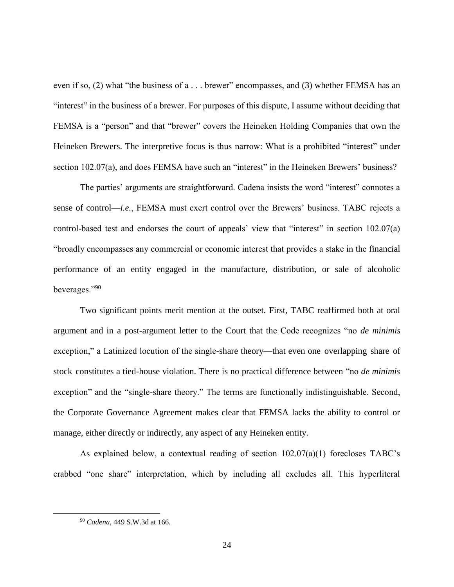even if so, (2) what "the business of a . . . brewer" encompasses, and (3) whether FEMSA has an "interest" in the business of a brewer. For purposes of this dispute, I assume without deciding that FEMSA is a "person" and that "brewer" covers the Heineken Holding Companies that own the Heineken Brewers. The interpretive focus is thus narrow: What is a prohibited "interest" under section 102.07(a), and does FEMSA have such an "interest" in the Heineken Brewers' business?

The parties' arguments are straightforward. Cadena insists the word "interest" connotes a sense of control—*i.e.*, FEMSA must exert control over the Brewers' business. TABC rejects a control-based test and endorses the court of appeals' view that "interest" in section 102.07(a) "broadly encompasses any commercial or economic interest that provides a stake in the financial performance of an entity engaged in the manufacture, distribution, or sale of alcoholic beverages."<sup>90</sup>

Two significant points merit mention at the outset. First, TABC reaffirmed both at oral argument and in a post-argument letter to the Court that the Code recognizes "no *de minimis* exception," a Latinized locution of the single-share theory—that even one overlapping share of stock constitutes a tied-house violation. There is no practical difference between "no *de minimis* exception" and the "single-share theory." The terms are functionally indistinguishable. Second, the Corporate Governance Agreement makes clear that FEMSA lacks the ability to control or manage, either directly or indirectly, any aspect of any Heineken entity.

As explained below, a contextual reading of section 102.07(a)(1) forecloses TABC's crabbed "one share" interpretation, which by including all excludes all. This hyperliteral

<sup>90</sup> *Cadena*, 449 S.W.3d at 166.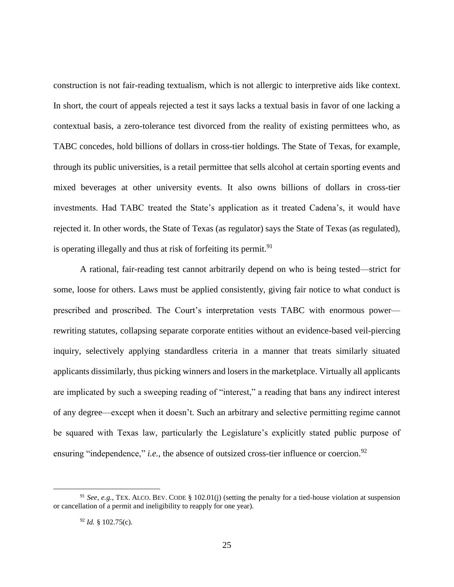construction is not fair-reading textualism, which is not allergic to interpretive aids like context. In short, the court of appeals rejected a test it says lacks a textual basis in favor of one lacking a contextual basis, a zero-tolerance test divorced from the reality of existing permittees who, as TABC concedes, hold billions of dollars in cross-tier holdings. The State of Texas, for example, through its public universities, is a retail permittee that sells alcohol at certain sporting events and mixed beverages at other university events. It also owns billions of dollars in cross-tier investments. Had TABC treated the State's application as it treated Cadena's, it would have rejected it. In other words, the State of Texas (as regulator) says the State of Texas (as regulated), is operating illegally and thus at risk of forfeiting its permit.<sup>91</sup>

A rational, fair-reading test cannot arbitrarily depend on who is being tested—strict for some, loose for others. Laws must be applied consistently, giving fair notice to what conduct is prescribed and proscribed. The Court's interpretation vests TABC with enormous power rewriting statutes, collapsing separate corporate entities without an evidence-based veil-piercing inquiry, selectively applying standardless criteria in a manner that treats similarly situated applicants dissimilarly, thus picking winners and losers in the marketplace. Virtually all applicants are implicated by such a sweeping reading of "interest," a reading that bans any indirect interest of any degree—except when it doesn't. Such an arbitrary and selective permitting regime cannot be squared with Texas law, particularly the Legislature's explicitly stated public purpose of ensuring "independence," *i.e.*, the absence of outsized cross-tier influence or coercion.<sup>92</sup>

<sup>91</sup> *See, e.g.*, TEX. ALCO. BEV. CODE § 102.01(j) (setting the penalty for a tied-house violation at suspension or cancellation of a permit and ineligibility to reapply for one year).

<sup>92</sup> *Id.* § 102.75(c).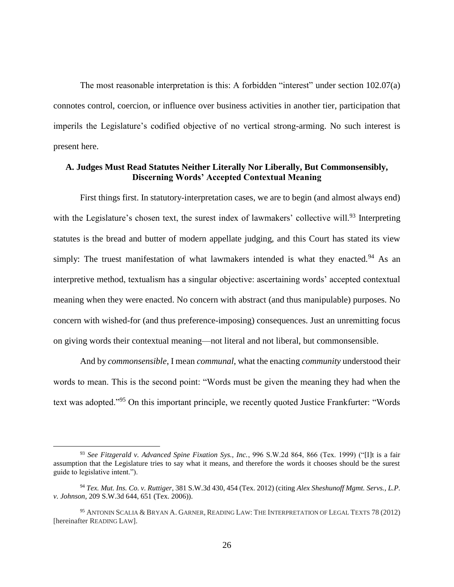The most reasonable interpretation is this: A forbidden "interest" under section 102.07(a) connotes control, coercion, or influence over business activities in another tier, participation that imperils the Legislature's codified objective of no vertical strong-arming. No such interest is present here.

## **A. Judges Must Read Statutes Neither Literally Nor Liberally, But Commonsensibly, Discerning Words' Accepted Contextual Meaning**

First things first. In statutory-interpretation cases, we are to begin (and almost always end) with the Legislature's chosen text, the surest index of lawmakers' collective will.<sup>93</sup> Interpreting statutes is the bread and butter of modern appellate judging, and this Court has stated its view simply: The truest manifestation of what lawmakers intended is what they enacted.<sup>94</sup> As an interpretive method, textualism has a singular objective: ascertaining words' accepted contextual meaning when they were enacted. No concern with abstract (and thus manipulable) purposes. No concern with wished-for (and thus preference-imposing) consequences. Just an unremitting focus on giving words their contextual meaning—not literal and not liberal, but commonsensible.

And by *commonsensible*, I mean *communal*, what the enacting *community* understood their words to mean. This is the second point: "Words must be given the meaning they had when the text was adopted."<sup>95</sup> On this important principle, we recently quoted Justice Frankfurter: "Words

<sup>93</sup> *See Fitzgerald v. Advanced Spine Fixation Sys., Inc.*, 996 S.W.2d 864, 866 (Tex. 1999) ("[I]t is a fair assumption that the Legislature tries to say what it means, and therefore the words it chooses should be the surest guide to legislative intent.").

<sup>94</sup> *Tex. Mut. Ins. Co. v. Ruttiger*, 381 S.W.3d 430, 454 (Tex. 2012) (citing *Alex Sheshunoff Mgmt. Servs., L.P. v. Johnson*, 209 S.W.3d 644, 651 (Tex. 2006)).

<sup>95</sup> ANTONIN SCALIA & BRYAN A. GARNER, READING LAW: THE INTERPRETATION OF LEGAL TEXTS 78 (2012) [hereinafter READING LAW].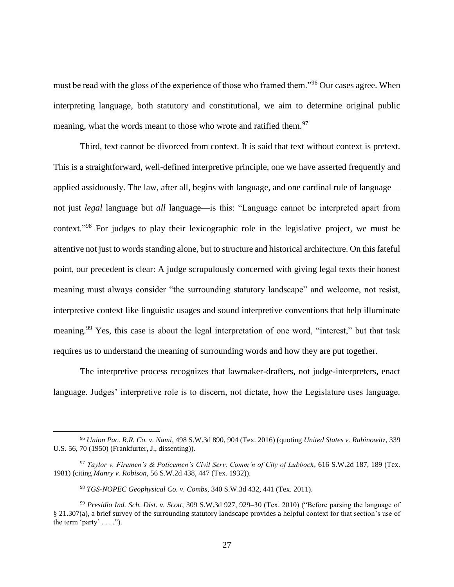must be read with the gloss of the experience of those who framed them."<sup>96</sup> Our cases agree. When interpreting language, both statutory and constitutional, we aim to determine original public meaning, what the words meant to those who wrote and ratified them.<sup>97</sup>

Third, text cannot be divorced from context. It is said that text without context is pretext. This is a straightforward, well-defined interpretive principle, one we have asserted frequently and applied assiduously. The law, after all, begins with language, and one cardinal rule of language not just *legal* language but *all* language—is this: "Language cannot be interpreted apart from context."<sup>98</sup> For judges to play their lexicographic role in the legislative project, we must be attentive not just to words standing alone, but to structure and historical architecture. On this fateful point, our precedent is clear: A judge scrupulously concerned with giving legal texts their honest meaning must always consider "the surrounding statutory landscape" and welcome, not resist, interpretive context like linguistic usages and sound interpretive conventions that help illuminate meaning.<sup>99</sup> Yes, this case is about the legal interpretation of one word, "interest," but that task requires us to understand the meaning of surrounding words and how they are put together.

The interpretive process recognizes that lawmaker-drafters, not judge-interpreters, enact language. Judges' interpretive role is to discern, not dictate, how the Legislature uses language.

<sup>96</sup> *Union Pac. R.R. Co. v. Nami*, 498 S.W.3d 890, 904 (Tex. 2016) (quoting *United States v. Rabinowitz*, 339 U.S. 56, 70 (1950) (Frankfurter, J., dissenting)).

<sup>97</sup> *Taylor v. Firemen's & Policemen's Civil Serv. Comm'n of City of Lubbock*, 616 S.W.2d 187, 189 (Tex. 1981) (citing *Manry v. Robison*, 56 S.W.2d 438, 447 (Tex. 1932)).

<sup>98</sup> *TGS-NOPEC Geophysical Co. v. Combs*, 340 S.W.3d 432, 441 (Tex. 2011).

<sup>99</sup> *Presidio Ind. Sch. Dist. v. Scott*, 309 S.W.3d 927, 929–30 (Tex. 2010) ("Before parsing the language of § 21.307(a), a brief survey of the surrounding statutory landscape provides a helpful context for that section's use of the term 'party'  $\dots$ ").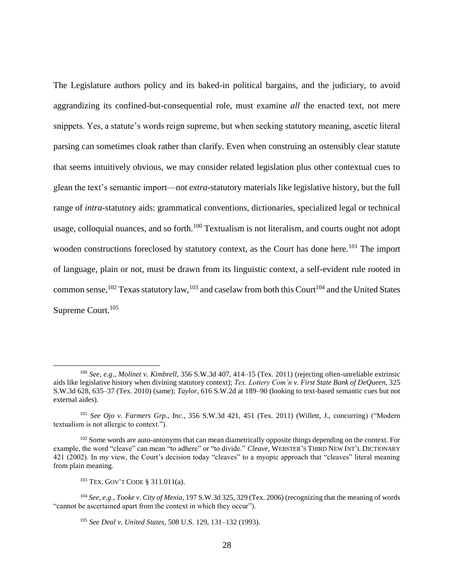The Legislature authors policy and its baked-in political bargains, and the judiciary, to avoid aggrandizing its confined-but-consequential role, must examine *all* the enacted text, not mere snippets. Yes, a statute's words reign supreme, but when seeking statutory meaning, ascetic literal parsing can sometimes cloak rather than clarify. Even when construing an ostensibly clear statute that seems intuitively obvious, we may consider related legislation plus other contextual cues to glean the text's semantic import—not *extra*-statutory materials like legislative history, but the full range of *intra*-statutory aids: grammatical conventions, dictionaries, specialized legal or technical usage, colloquial nuances, and so forth. $100$  Textualism is not literalism, and courts ought not adopt wooden constructions foreclosed by statutory context, as the Court has done here.<sup>101</sup> The import of language, plain or not, must be drawn from its linguistic context, a self-evident rule rooted in common sense,<sup>102</sup> Texas statutory law,<sup>103</sup> and caselaw from both this Court<sup>104</sup> and the United States Supreme Court.<sup>105</sup>

<sup>100</sup> *See, e.g*., *Molinet v. Kimbrell*, 356 S.W.3d 407, 414–15 (Tex. 2011) (rejecting often-unreliable extrinsic aids like legislative history when divining statutory context); *Tex. Lottery Com'n v. First State Bank of DeQueen*, 325 S.W.3d 628, 635–37 (Tex. 2010) (same); *Taylor*, 616 S.W.2d at 189–90 (looking to text-based semantic cues but not external aides).

<sup>101</sup> *See Ojo v. Farmers Grp., Inc.*, 356 S.W.3d 421, 451 (Tex. 2011) (Willett, J., concurring) ("Modern textualism is not allergic to context.").

<sup>&</sup>lt;sup>102</sup> Some words are auto-antonyms that can mean diametrically opposite things depending on the context. For example, the word "cleave" can mean "to adhere" or "to divide." *Cleave*, WEBSTER'S THIRD NEW INT'L DICTIONARY 421 (2002). In my view, the Court's decision today "cleaves" to a myopic approach that "cleaves" literal meaning from plain meaning.

<sup>103</sup> TEX. GOV'T CODE § 311.011(a).

<sup>104</sup> *See, e.g.*, *Tooke v. City of Mexia*, 197 S.W.3d 325, 329 (Tex. 2006) (recognizing that the meaning of words "cannot be ascertained apart from the context in which they occur").

<sup>105</sup> *See Deal v. United States*, 508 U.S. 129, 131–132 (1993).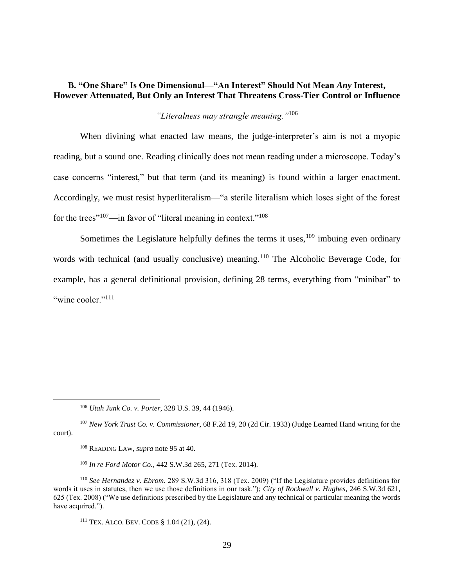# **B. "One Share" Is One Dimensional—"An Interest" Should Not Mean** *Any* **Interest, However Attenuated, But Only an Interest That Threatens Cross-Tier Control or Influence**

# *"Literalness may strangle meaning."*<sup>106</sup>

When divining what enacted law means, the judge-interpreter's aim is not a myopic reading, but a sound one. Reading clinically does not mean reading under a microscope. Today's case concerns "interest," but that term (and its meaning) is found within a larger enactment. Accordingly, we must resist hyperliteralism—"a sterile literalism which loses sight of the forest for the trees"<sup>107</sup>—in favor of "literal meaning in context."<sup>108</sup>

Sometimes the Legislature helpfully defines the terms it uses,  $109$  imbuing even ordinary words with technical (and usually conclusive) meaning.<sup>110</sup> The Alcoholic Beverage Code, for example, has a general definitional provision, defining 28 terms, everything from "minibar" to "wine cooler" $^{111}$ 

<sup>106</sup> *Utah Junk Co. v. Porter*, 328 U.S. 39, 44 (1946).

<sup>107</sup> *New York Trust Co. v. Commissioner*, 68 F.2d 19, 20 (2d Cir. 1933) (Judge Learned Hand writing for the court).

<sup>108</sup> READING LAW, *supra* note 95 at 40.

<sup>109</sup> *In re Ford Motor Co.*, 442 S.W.3d 265, 271 (Tex. 2014).

<sup>110</sup> *See Hernandez v. Ebrom*, 289 S.W.3d 316, 318 (Tex. 2009) ("If the Legislature provides definitions for words it uses in statutes, then we use those definitions in our task."); *City of Rockwall v. Hughes*, 246 S.W.3d 621, 625 (Tex. 2008) ("We use definitions prescribed by the Legislature and any technical or particular meaning the words have acquired.").

<sup>111</sup> TEX. ALCO. BEV. CODE § 1.04 (21), (24).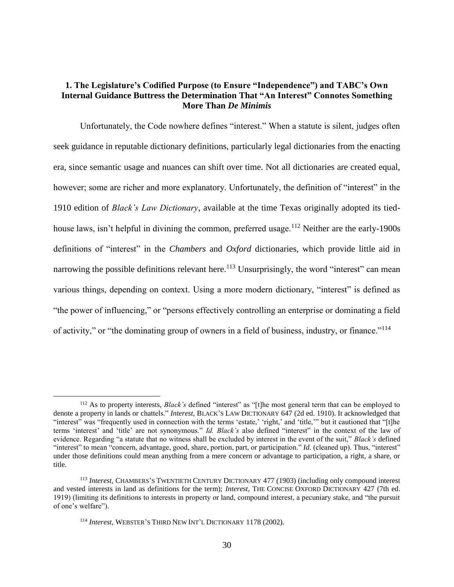# **1. The Legislature's Codified Purpose (to Ensure "Independence") and TABC's Own Internal Guidance Buttress the Determination That "An Interest" Connotes Something More Than** *De Minimis*

Unfortunately, the Code nowhere defines "interest." When a statute is silent, judges often seek guidance in reputable dictionary definitions, particularly legal dictionaries from the enacting era, since semantic usage and nuances can shift over time. Not all dictionaries are created equal, however; some are richer and more explanatory. Unfortunately, the definition of "interest" in the 1910 edition of *Black's Law Dictionary*, available at the time Texas originally adopted its tiedhouse laws, isn't helpful in divining the common, preferred usage.<sup>112</sup> Neither are the early-1900s definitions of "interest" in the *Chambers* and *Oxford* dictionaries, which provide little aid in narrowing the possible definitions relevant here.<sup>113</sup> Unsurprisingly, the word "interest" can mean various things, depending on context. Using a more modern dictionary, "interest" is defined as "the power of influencing," or "persons effectively controlling an enterprise or dominating a field of activity," or "the dominating group of owners in a field of business, industry, or finance."<sup>114</sup>

<sup>112</sup> As to property interests, *Black's* defined "interest" as "[t]he most general term that can be employed to denote a property in lands or chattels." *Interest*, BLACK'S LAW DICTIONARY 647 (2d ed. 1910). It acknowledged that "interest" was "frequently used in connection with the terms 'estate,' 'right,' and 'title," but it cautioned that "[t]he terms 'interest' and 'title' are not synonymous." *Id. Black's* also defined "interest" in the context of the law of evidence. Regarding "a statute that no witness shall be excluded by interest in the event of the suit," *Black's* defined "interest" to mean "concern, advantage, good, share, portion, part, or participation." *Id.* (cleaned up). Thus, "interest" under those definitions could mean anything from a mere concern or advantage to participation, a right, a share, or title.

<sup>113</sup> *Interest*, CHAMBERS'S TWENTIETH CENTURY DICTIONARY 477 (1903) (including only compound interest and vested interests in land as definitions for the term); *Interest*, THE CONCISE OXFORD DICTIONARY 427 (7th ed. 1919) (limiting its definitions to interests in property or land, compound interest, a pecuniary stake, and "the pursuit of one's welfare").

<sup>114</sup> *Interest*, WEBSTER'S THIRD NEW INT'L DICTIONARY 1178 (2002).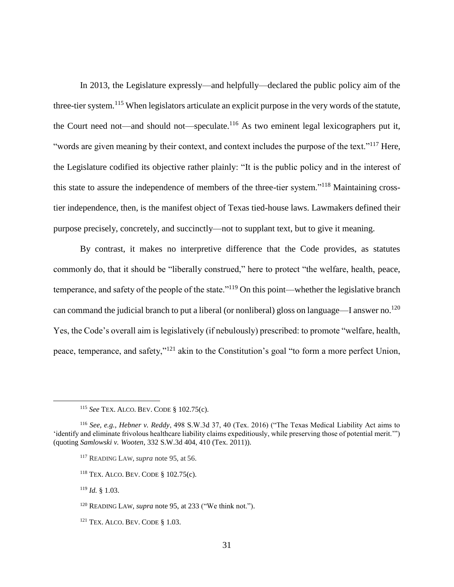In 2013, the Legislature expressly—and helpfully—declared the public policy aim of the three-tier system.<sup>115</sup> When legislators articulate an explicit purpose in the very words of the statute, the Court need not—and should not—speculate.<sup>116</sup> As two eminent legal lexicographers put it, "words are given meaning by their context, and context includes the purpose of the text."<sup>117</sup> Here, the Legislature codified its objective rather plainly: "It is the public policy and in the interest of this state to assure the independence of members of the three-tier system."<sup>118</sup> Maintaining crosstier independence, then, is the manifest object of Texas tied-house laws. Lawmakers defined their purpose precisely, concretely, and succinctly—not to supplant text, but to give it meaning.

By contrast, it makes no interpretive difference that the Code provides, as statutes commonly do, that it should be "liberally construed," here to protect "the welfare, health, peace, temperance, and safety of the people of the state."<sup>119</sup> On this point—whether the legislative branch can command the judicial branch to put a liberal (or nonliberal) gloss on language—I answer no.<sup>120</sup> Yes, the Code's overall aim is legislatively (if nebulously) prescribed: to promote "welfare, health, peace, temperance, and safety,"<sup>121</sup> akin to the Constitution's goal "to form a more perfect Union,

<sup>118</sup> TEX. ALCO. BEV. CODE § 102.75(c).

<sup>119</sup> *Id.* § 1.03.

<sup>115</sup> *See* TEX. ALCO. BEV. CODE § 102.75(c).

<sup>116</sup> *See, e.g.*, *Hebner v. Reddy*, 498 S.W.3d 37, 40 (Tex. 2016) ("The Texas Medical Liability Act aims to 'identify and eliminate frivolous healthcare liability claims expeditiously, while preserving those of potential merit.'") (quoting *Samlowski v. Wooten*, 332 S.W.3d 404, 410 (Tex. 2011)).

<sup>117</sup> READING LAW, *supra* note 95, at 56.

<sup>120</sup> READING LAW, *supra* note 95, at 233 ("We think not.").

<sup>121</sup> TEX. ALCO. BEV. CODE § 1.03.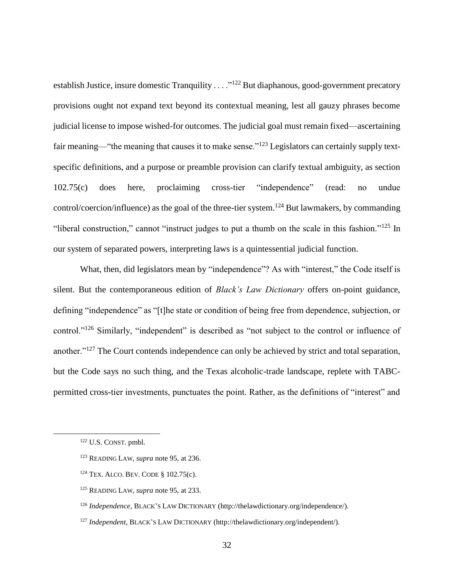establish Justice, insure domestic Tranquility . . . . "<sup>122</sup> But diaphanous, good-government precatory provisions ought not expand text beyond its contextual meaning, lest all gauzy phrases become judicial license to impose wished-for outcomes. The judicial goal must remain fixed—ascertaining fair meaning—"the meaning that causes it to make sense."<sup>123</sup> Legislators can certainly supply textspecific definitions, and a purpose or preamble provision can clarify textual ambiguity, as section 102.75(c) does here, proclaiming cross-tier "independence" (read: no undue control/coercion/influence) as the goal of the three-tier system.<sup>124</sup> But lawmakers, by commanding "liberal construction," cannot "instruct judges to put a thumb on the scale in this fashion."<sup>125</sup> In our system of separated powers, interpreting laws is a quintessential judicial function.

What, then, did legislators mean by "independence"? As with "interest," the Code itself is silent. But the contemporaneous edition of *Black's Law Dictionary* offers on-point guidance, defining "independence" as "[t]he state or condition of being free from dependence, subjection, or control."<sup>126</sup> Similarly, "independent" is described as "not subject to the control or influence of another."<sup>127</sup> The Court contends independence can only be achieved by strict and total separation, but the Code says no such thing, and the Texas alcoholic-trade landscape, replete with TABCpermitted cross-tier investments, punctuates the point. Rather, as the definitions of "interest" and

- <sup>124</sup> TEX. ALCO. BEV. CODE § 102.75(c).
- <sup>125</sup> READING LAW, *supra* note 95, at 233.
- <sup>126</sup> *Independence*, BLACK'S LAW DICTIONARY (http://thelawdictionary.org/independence/).
- <sup>127</sup> *Independent*, BLACK'S LAW DICTIONARY (http://thelawdictionary.org/independent/).

<sup>122</sup> U.S. CONST. pmbl.

<sup>123</sup> READING LAW, *supra* note 95, at 236.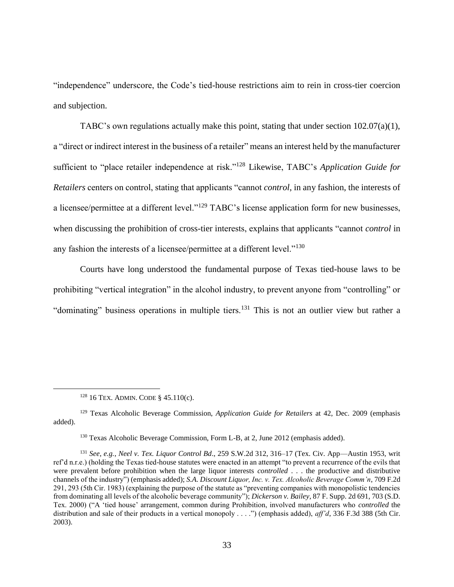"independence" underscore, the Code's tied-house restrictions aim to rein in cross-tier coercion and subjection.

TABC's own regulations actually make this point, stating that under section 102.07(a)(1), a "direct or indirect interest in the business of a retailer" means an interest held by the manufacturer sufficient to "place retailer independence at risk."<sup>128</sup> Likewise, TABC's *Application Guide for Retailers* centers on control, stating that applicants "cannot *control*, in any fashion, the interests of a licensee/permittee at a different level."<sup>129</sup> TABC's license application form for new businesses. when discussing the prohibition of cross-tier interests, explains that applicants "cannot *control* in any fashion the interests of a licensee/permittee at a different level."<sup>130</sup>

Courts have long understood the fundamental purpose of Texas tied-house laws to be prohibiting "vertical integration" in the alcohol industry, to prevent anyone from "controlling" or "dominating" business operations in multiple tiers.<sup>131</sup> This is not an outlier view but rather a

 $\overline{a}$ 

<sup>130</sup> Texas Alcoholic Beverage Commission, Form L-B, at 2, June 2012 (emphasis added).

<sup>&</sup>lt;sup>128</sup> 16 TEX. ADMIN. CODE §  $45.110(c)$ .

<sup>129</sup> Texas Alcoholic Beverage Commission, *Application Guide for Retailers* at 42, Dec. 2009 (emphasis added).

<sup>131</sup> *See, e.g.*, *Neel v. Tex. Liquor Control Bd*., 259 S.W.2d 312, 316–17 (Tex. Civ. App—Austin 1953, writ ref'd n.r.e.) (holding the Texas tied-house statutes were enacted in an attempt "to prevent a recurrence of the evils that were prevalent before prohibition when the large liquor interests *controlled* . . . the productive and distributive channels of the industry") (emphasis added); *S.A. Discount Liquor, Inc. v. Tex. Alcoholic Beverage Comm'n*, 709 F.2d 291, 293 (5th Cir. 1983) (explaining the purpose of the statute as "preventing companies with monopolistic tendencies from dominating all levels of the alcoholic beverage community"); *Dickerson v. Bailey*, 87 F. Supp. 2d 691, 703 (S.D. Tex. 2000) ("A 'tied house' arrangement, common during Prohibition, involved manufacturers who *controlled* the distribution and sale of their products in a vertical monopoly . . . .") (emphasis added), *aff'd*, 336 F.3d 388 (5th Cir. 2003).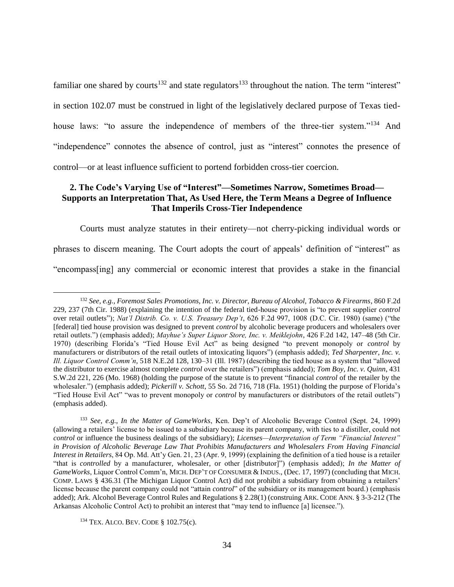familiar one shared by courts<sup>132</sup> and state regulators<sup>133</sup> throughout the nation. The term "interest" in section 102.07 must be construed in light of the legislatively declared purpose of Texas tiedhouse laws: "to assure the independence of members of the three-tier system."<sup>134</sup> And "independence" connotes the absence of control, just as "interest" connotes the presence of control—or at least influence sufficient to portend forbidden cross-tier coercion.

# **2. The Code's Varying Use of "Interest"—Sometimes Narrow, Sometimes Broad— Supports an Interpretation That, As Used Here, the Term Means a Degree of Influence That Imperils Cross-Tier Independence**

Courts must analyze statutes in their entirety—not cherry-picking individual words or phrases to discern meaning. The Court adopts the court of appeals' definition of "interest" as "encompass[ing] any commercial or economic interest that provides a stake in the financial

<sup>132</sup> *See, e.g.*, *Foremost Sales Promotions, Inc. v. Director, Bureau of Alcohol, Tobacco & Firearms*, 860 F.2d 229, 237 (7th Cir. 1988) (explaining the intention of the federal tied-house provision is "to prevent supplier *control* over retail outlets"); *Nat'l Distrib. Co. v. U.S. Treasury Dep't*, 626 F.2d 997, 1008 (D.C. Cir. 1980) (same) ("the [federal] tied house provision was designed to prevent *control* by alcoholic beverage producers and wholesalers over retail outlets.") (emphasis added); *Mayhue's Super Liquor Store, Inc. v. Meiklejohn*, 426 F.2d 142, 147–48 (5th Cir. 1970) (describing Florida's "Tied House Evil Act" as being designed "to prevent monopoly or *control* by manufacturers or distributors of the retail outlets of intoxicating liquors") (emphasis added); *Ted Sharpenter, Inc. v. Ill. Liquor Control Comm'n*, 518 N.E.2d 128, 130–31 (Ill. 1987) (describing the tied house as a system that "allowed the distributor to exercise almost complete *control* over the retailers") (emphasis added); *Tom Boy, Inc. v. Quinn*, 431 S.W.2d 221, 226 (Mo. 1968) (holding the purpose of the statute is to prevent "financial *control* of the retailer by the wholesaler.") (emphasis added); *Pickerill v. Schott*, 55 So. 2d 716, 718 (Fla. 1951) (holding the purpose of Florida's "Tied House Evil Act" "was to prevent monopoly or *control* by manufacturers or distributors of the retail outlets") (emphasis added).

<sup>133</sup> *See, e.g.*, *In the Matter of GameWorks*, Ken. Dep't of Alcoholic Beverage Control (Sept. 24, 1999) (allowing a retailers' license to be issued to a subsidiary because its parent company, with ties to a distiller, could not *control* or influence the business dealings of the subsidiary); *Licenses—Interpretation of Term "Financial Interest" in Provision of Alcoholic Beverage Law That Prohibits Manufacturers and Wholesalers From Having Financial Interest in Retailers*, 84 Op. Md. Att'y Gen. 21, 23 (Apr. 9, 1999) (explaining the definition of a tied house is a retailer "that is *controlled* by a manufacturer, wholesaler, or other [distributor]") (emphasis added); *In the Matter of GameWorks*, Liquor Control Comm'n, MICH. DEP'T OF CONSUMER & INDUS., (Dec. 17, 1997) (concluding that MICH. COMP. LAWS § 436.31 (The Michigan Liquor Control Act) did not prohibit a subsidiary from obtaining a retailers' license because the parent company could not "attain *control*" of the subsidiary or its management board.) (emphasis added); Ark. Alcohol Beverage Control Rules and Regulations § 2.28(1) (construing ARK. CODE ANN. § 3-3-212 (The Arkansas Alcoholic Control Act) to prohibit an interest that "may tend to influence [a] licensee.").

<sup>134</sup> TEX. ALCO. BEV. CODE § 102.75(c).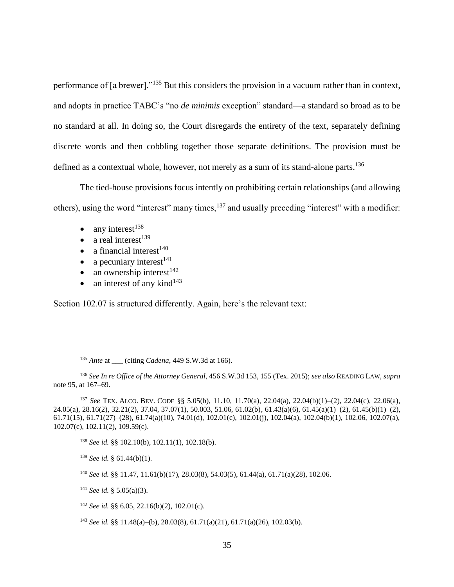performance of [a brewer]."<sup>135</sup> But this considers the provision in a vacuum rather than in context, and adopts in practice TABC's "no *de minimis* exception" standard—a standard so broad as to be no standard at all. In doing so, the Court disregards the entirety of the text, separately defining discrete words and then cobbling together those separate definitions. The provision must be defined as a contextual whole, however, not merely as a sum of its stand-alone parts.<sup>136</sup>

The tied-house provisions focus intently on prohibiting certain relationships (and allowing others), using the word "interest" many times,<sup>137</sup> and usually preceding "interest" with a modifier:

 $\bullet$  any interest<sup>138</sup>

 $\overline{a}$ 

- a real interest<sup>139</sup>
- a financial interest<sup>140</sup>
- a pecuniary interest<sup>141</sup>
- an ownership interest<sup>142</sup>
- an interest of any kind $143$

Section 102.07 is structured differently. Again, here's the relevant text:

<sup>139</sup> *See id.* § 61.44(b)(1).

<sup>&</sup>lt;sup>135</sup> *Ante* at (citing *Cadena*, 449 S.W.3d at 166).

<sup>136</sup> *See In re Office of the Attorney General*, 456 S.W.3d 153, 155 (Tex. 2015); *see also* READING LAW, *supra* note 95, at 167–69.

<sup>137</sup> *See* TEX. ALCO. BEV. CODE §§ 5.05(b), 11.10, 11.70(a), 22.04(a), 22.04(b)(1)–(2), 22.04(c), 22.06(a), 24.05(a), 28.16(2), 32.21(2), 37.04, 37.07(1), 50.003, 51.06, 61.02(b), 61.43(a)(6), 61.45(a)(1)–(2), 61.45(b)(1)–(2), 61.71(15), 61.71(27)–(28), 61.74(a)(10), 74.01(d), 102.01(c), 102.01(j), 102.04(a), 102.04(b)(1), 102.06, 102.07(a), 102.07(c), 102.11(2), 109.59(c).

<sup>138</sup> *See id.* §§ 102.10(b), 102.11(1), 102.18(b).

<sup>140</sup> *See id.* §§ 11.47, 11.61(b)(17), 28.03(8), 54.03(5), 61.44(a), 61.71(a)(28), 102.06.

<sup>141</sup> *See id.* § 5.05(a)(3).

<sup>142</sup> *See id.* §§ 6.05, 22.16(b)(2), 102.01(c).

<sup>143</sup> *See id.* §§ 11.48(a)–(b), 28.03(8), 61.71(a)(21), 61.71(a)(26), 102.03(b).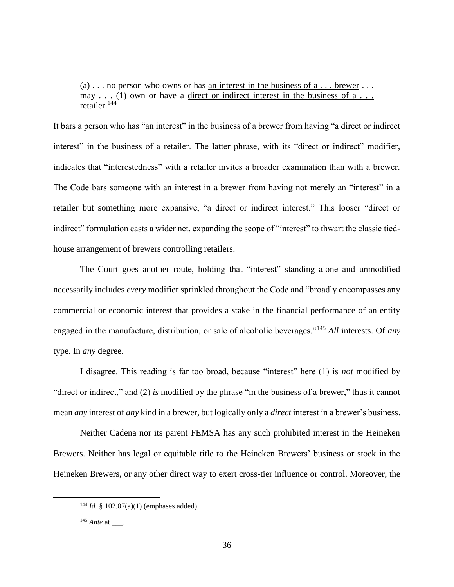(a)  $\ldots$  no person who owns or has an interest in the business of a  $\ldots$  brewer  $\ldots$ may . . . (1) own or have a direct or indirect interest in the business of  $a \ldots$ retailer.<sup>144</sup>

It bars a person who has "an interest" in the business of a brewer from having "a direct or indirect interest" in the business of a retailer. The latter phrase, with its "direct or indirect" modifier, indicates that "interestedness" with a retailer invites a broader examination than with a brewer. The Code bars someone with an interest in a brewer from having not merely an "interest" in a retailer but something more expansive, "a direct or indirect interest." This looser "direct or indirect" formulation casts a wider net, expanding the scope of "interest" to thwart the classic tiedhouse arrangement of brewers controlling retailers.

The Court goes another route, holding that "interest" standing alone and unmodified necessarily includes *every* modifier sprinkled throughout the Code and "broadly encompasses any commercial or economic interest that provides a stake in the financial performance of an entity engaged in the manufacture, distribution, or sale of alcoholic beverages."<sup>145</sup> *All* interests. Of *any* type. In *any* degree.

I disagree. This reading is far too broad, because "interest" here (1) is *not* modified by "direct or indirect," and (2) *is* modified by the phrase "in the business of a brewer," thus it cannot mean *any* interest of *any* kind in a brewer, but logically only a *direct* interest in a brewer's business.

Neither Cadena nor its parent FEMSA has any such prohibited interest in the Heineken Brewers. Neither has legal or equitable title to the Heineken Brewers' business or stock in the Heineken Brewers, or any other direct way to exert cross-tier influence or control. Moreover, the

<sup>144</sup> *Id.* § 102.07(a)(1) (emphases added).

<sup>&</sup>lt;sup>145</sup> *Ante* at \_\_\_\_.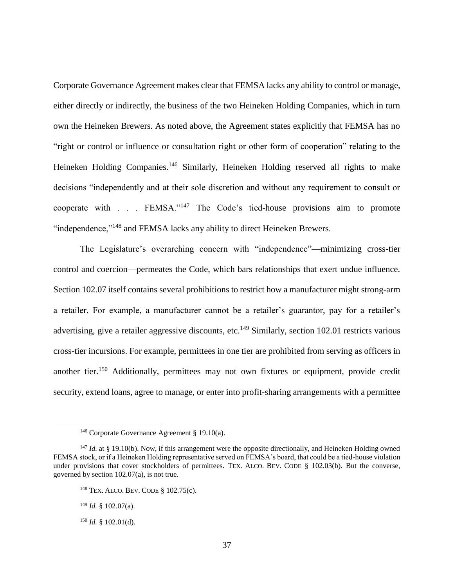Corporate Governance Agreement makes clear that FEMSA lacks any ability to control or manage, either directly or indirectly, the business of the two Heineken Holding Companies, which in turn own the Heineken Brewers. As noted above, the Agreement states explicitly that FEMSA has no "right or control or influence or consultation right or other form of cooperation" relating to the Heineken Holding Companies.<sup>146</sup> Similarly, Heineken Holding reserved all rights to make decisions "independently and at their sole discretion and without any requirement to consult or cooperate with . . . FEMSA."<sup>147</sup> The Code's tied-house provisions aim to promote "independence,"<sup>148</sup> and FEMSA lacks any ability to direct Heineken Brewers.

The Legislature's overarching concern with "independence"—minimizing cross-tier control and coercion—permeates the Code, which bars relationships that exert undue influence. Section 102.07 itself contains several prohibitions to restrict how a manufacturer might strong-arm a retailer. For example, a manufacturer cannot be a retailer's guarantor, pay for a retailer's advertising, give a retailer aggressive discounts, etc.<sup>149</sup> Similarly, section 102.01 restricts various cross-tier incursions. For example, permittees in one tier are prohibited from serving as officers in another tier.<sup>150</sup> Additionally, permittees may not own fixtures or equipment, provide credit security, extend loans, agree to manage, or enter into profit-sharing arrangements with a permittee

<sup>146</sup> Corporate Governance Agreement § 19.10(a).

<sup>&</sup>lt;sup>147</sup> *Id.* at § 19.10(b). Now, if this arrangement were the opposite directionally, and Heineken Holding owned FEMSA stock, or if a Heineken Holding representative served on FEMSA's board, that could be a tied-house violation under provisions that cover stockholders of permittees. TEX. ALCO. BEV. CODE § 102.03(b). But the converse, governed by section 102.07(a), is not true.

<sup>148</sup> TEX. ALCO. BEV. CODE § 102.75(c).

<sup>149</sup> *Id.* § 102.07(a).

<sup>150</sup> *Id.* § 102.01(d).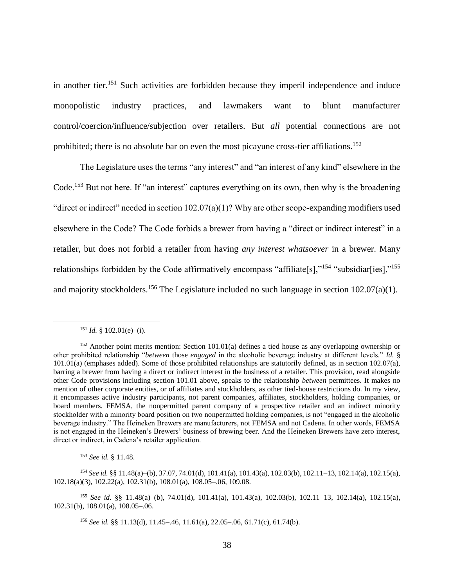in another tier.<sup>151</sup> Such activities are forbidden because they imperil independence and induce monopolistic industry practices, and lawmakers want to blunt manufacturer control/coercion/influence/subjection over retailers. But *all* potential connections are not prohibited; there is no absolute bar on even the most picayune cross-tier affiliations.<sup>152</sup>

The Legislature uses the terms "any interest" and "an interest of any kind" elsewhere in the Code.<sup>153</sup> But not here. If "an interest" captures everything on its own, then why is the broadening "direct or indirect" needed in section 102.07(a)(1)? Why are other scope-expanding modifiers used elsewhere in the Code? The Code forbids a brewer from having a "direct or indirect interest" in a retailer, but does not forbid a retailer from having *any interest whatsoever* in a brewer. Many relationships forbidden by the Code affirmatively encompass "affiliate[s],"<sup>154</sup> "subsidiar[ies],"<sup>155</sup> and majority stockholders.<sup>156</sup> The Legislature included no such language in section 102.07(a)(1).

 $\overline{a}$ 

<sup>153</sup> *See id.* § 11.48.

 $151$  *Id.* § 102.01(e)–(i).

<sup>&</sup>lt;sup>152</sup> Another point merits mention: Section 101.01(a) defines a tied house as any overlapping ownership or other prohibited relationship "*between* those *engaged* in the alcoholic beverage industry at different levels." *Id.* §  $101.01(a)$  (emphases added). Some of those prohibited relationships are statutorily defined, as in section  $102.07(a)$ , barring a brewer from having a direct or indirect interest in the business of a retailer. This provision, read alongside other Code provisions including section 101.01 above, speaks to the relationship *between* permittees. It makes no mention of other corporate entities, or of affiliates and stockholders, as other tied-house restrictions do. In my view, it encompasses active industry participants, not parent companies, affiliates, stockholders, holding companies, or board members. FEMSA, the nonpermitted parent company of a prospective retailer and an indirect minority stockholder with a minority board position on two nonpermitted holding companies, is not "engaged in the alcoholic beverage industry." The Heineken Brewers are manufacturers, not FEMSA and not Cadena. In other words, FEMSA is not engaged in the Heineken's Brewers' business of brewing beer. And the Heineken Brewers have zero interest, direct or indirect, in Cadena's retailer application.

<sup>154</sup> *See id.* §§ 11.48(a)–(b), 37.07, 74.01(d), 101.41(a), 101.43(a), 102.03(b), 102.11–13, 102.14(a), 102.15(a), 102.18(a)(3), 102.22(a), 102.31(b), 108.01(a), 108.05–.06, 109.08.

<sup>155</sup> *See id.* §§ 11.48(a)–(b), 74.01(d), 101.41(a), 101.43(a), 102.03(b), 102.11–13, 102.14(a), 102.15(a), 102.31(b), 108.01(a), 108.05–.06.

<sup>156</sup> *See id.* §§ 11.13(d), 11.45–.46, 11.61(a), 22.05–.06, 61.71(c), 61.74(b).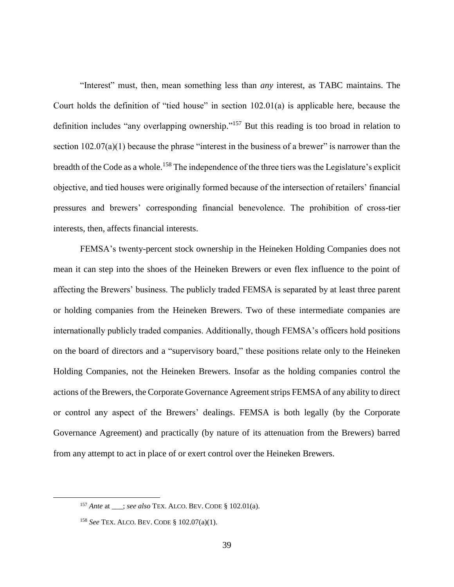"Interest" must, then, mean something less than *any* interest, as TABC maintains. The Court holds the definition of "tied house" in section 102.01(a) is applicable here, because the definition includes "any overlapping ownership."<sup>157</sup> But this reading is too broad in relation to section  $102.07(a)(1)$  because the phrase "interest in the business of a brewer" is narrower than the breadth of the Code as a whole.<sup>158</sup> The independence of the three tiers was the Legislature's explicit objective, and tied houses were originally formed because of the intersection of retailers' financial pressures and brewers' corresponding financial benevolence. The prohibition of cross-tier interests, then, affects financial interests.

FEMSA's twenty-percent stock ownership in the Heineken Holding Companies does not mean it can step into the shoes of the Heineken Brewers or even flex influence to the point of affecting the Brewers' business. The publicly traded FEMSA is separated by at least three parent or holding companies from the Heineken Brewers. Two of these intermediate companies are internationally publicly traded companies. Additionally, though FEMSA's officers hold positions on the board of directors and a "supervisory board," these positions relate only to the Heineken Holding Companies, not the Heineken Brewers. Insofar as the holding companies control the actions of the Brewers, the Corporate Governance Agreement strips FEMSA of any ability to direct or control any aspect of the Brewers' dealings. FEMSA is both legally (by the Corporate Governance Agreement) and practically (by nature of its attenuation from the Brewers) barred from any attempt to act in place of or exert control over the Heineken Brewers.

<sup>&</sup>lt;sup>157</sup> *Ante* at \_\_\_; *see also* TEX. ALCO. BEV. CODE § 102.01(a).

<sup>158</sup> *See* TEX. ALCO. BEV. CODE § 102.07(a)(1).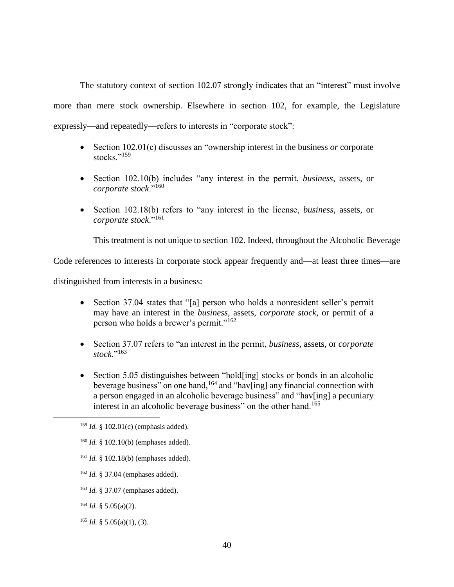The statutory context of section 102.07 strongly indicates that an "interest" must involve more than mere stock ownership. Elsewhere in section 102, for example, the Legislature expressly—and repeatedly—refers to interests in "corporate stock":

- Section 102.01(c) discusses an "ownership interest in the business *or* corporate stocks."<sup>159</sup>
- Section 102.10(b) includes "any interest in the permit, *business*, assets, or *corporate stock*."<sup>160</sup>
- Section 102.18(b) refers to "any interest in the license, *business*, assets, or *corporate stock*."<sup>161</sup>

This treatment is not unique to section 102. Indeed, throughout the Alcoholic Beverage

Code references to interests in corporate stock appear frequently and—at least three times—are

distinguished from interests in a business:

- Section 37.04 states that "[a] person who holds a nonresident seller's permit may have an interest in the *business*, assets, *corporate stock*, or permit of a person who holds a brewer's permit."<sup>162</sup>
- Section 37.07 refers to "an interest in the permit, *business*, assets, or *corporate stock*."<sup>163</sup>
- Section 5.05 distinguishes between "hold[ing] stocks or bonds in an alcoholic beverage business" on one hand,<sup>164</sup> and "hav[ing] any financial connection with a person engaged in an alcoholic beverage business" and "hav[ing] a pecuniary interest in an alcoholic beverage business" on the other hand.<sup>165</sup>

- <sup>161</sup> *Id.* § 102.18(b) (emphases added).
- <sup>162</sup> *Id.* § 37.04 (emphases added).
- <sup>163</sup> *Id.* § 37.07 (emphases added).
- $164$  *Id.* § 5.05(a)(2).

 $\overline{a}$ 

<sup>165</sup> *Id.* § 5.05(a)(1), (3).

<sup>159</sup> *Id.* § 102.01(c) (emphasis added).

<sup>160</sup> *Id.* § 102.10(b) (emphases added).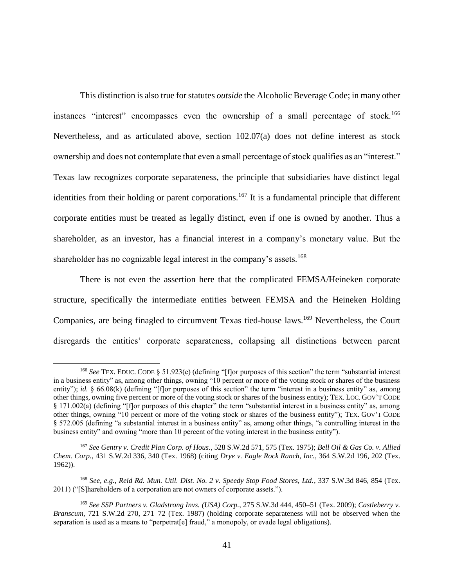This distinction is also true for statutes *outside* the Alcoholic Beverage Code; in many other instances "interest" encompasses even the ownership of a small percentage of stock.<sup>166</sup> Nevertheless, and as articulated above, section 102.07(a) does not define interest as stock ownership and does not contemplate that even a small percentage of stock qualifies as an "interest." Texas law recognizes corporate separateness, the principle that subsidiaries have distinct legal identities from their holding or parent corporations.<sup>167</sup> It is a fundamental principle that different corporate entities must be treated as legally distinct, even if one is owned by another. Thus a shareholder, as an investor, has a financial interest in a company's monetary value. But the shareholder has no cognizable legal interest in the company's assets.<sup>168</sup>

There is not even the assertion here that the complicated FEMSA/Heineken corporate structure, specifically the intermediate entities between FEMSA and the Heineken Holding Companies, are being finagled to circumvent Texas tied-house laws.<sup>169</sup> Nevertheless, the Court disregards the entities' corporate separateness, collapsing all distinctions between parent

<sup>&</sup>lt;sup>166</sup> *See* TEX. EDUC. CODE § 51.923(e) (defining "[f]or purposes of this section" the term "substantial interest in a business entity" as, among other things, owning "10 percent or more of the voting stock or shares of the business entity"); *id.* § 66.08(k) (defining "[f]or purposes of this section" the term "interest in a business entity" as, among other things, owning five percent or more of the voting stock or shares of the business entity); TEX. LOC. GOV'T CODE § 171.002(a) (defining "[f]or purposes of this chapter" the term "substantial interest in a business entity" as, among other things, owning "10 percent or more of the voting stock or shares of the business entity"); TEX. GOV'T CODE § 572.005 (defining "a substantial interest in a business entity" as, among other things, "a controlling interest in the business entity" and owning "more than 10 percent of the voting interest in the business entity").

<sup>167</sup> *See Gentry v. Credit Plan Corp. of Hous.*, 528 S.W.2d 571, 575 (Tex. 1975); *Bell Oil & Gas Co. v. Allied Chem. Corp.*, 431 S.W.2d 336, 340 (Tex. 1968) (citing *Drye v. Eagle Rock Ranch, Inc.*, 364 S.W.2d 196, 202 (Tex. 1962)).

<sup>168</sup> *See, e.g.*, *Reid Rd. Mun. Util. Dist. No. 2 v. Speedy Stop Food Stores, Ltd.*, 337 S.W.3d 846, 854 (Tex. 2011) ("[S]hareholders of a corporation are not owners of corporate assets.").

<sup>169</sup> *See SSP Partners v. Gladstrong Invs. (USA) Corp.*, 275 S.W.3d 444, 450–51 (Tex. 2009); *Castleberry v. Branscum*, 721 S.W.2d 270, 271–72 (Tex. 1987) (holding corporate separateness will not be observed when the separation is used as a means to "perpetrat[e] fraud," a monopoly, or evade legal obligations).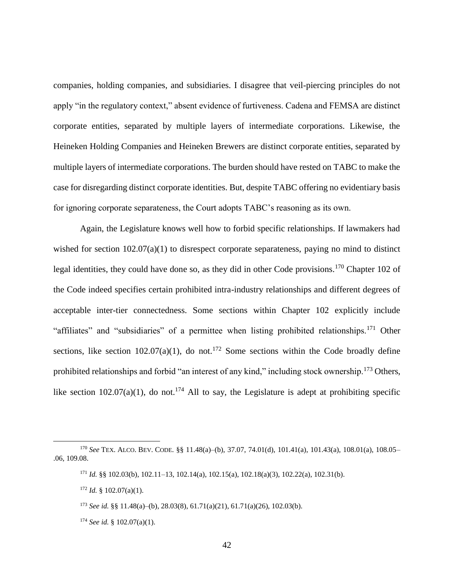companies, holding companies, and subsidiaries. I disagree that veil-piercing principles do not apply "in the regulatory context," absent evidence of furtiveness. Cadena and FEMSA are distinct corporate entities, separated by multiple layers of intermediate corporations. Likewise, the Heineken Holding Companies and Heineken Brewers are distinct corporate entities, separated by multiple layers of intermediate corporations. The burden should have rested on TABC to make the case for disregarding distinct corporate identities. But, despite TABC offering no evidentiary basis for ignoring corporate separateness, the Court adopts TABC's reasoning as its own.

Again, the Legislature knows well how to forbid specific relationships. If lawmakers had wished for section  $102.07(a)(1)$  to disrespect corporate separateness, paying no mind to distinct legal identities, they could have done so, as they did in other Code provisions.<sup>170</sup> Chapter 102 of the Code indeed specifies certain prohibited intra-industry relationships and different degrees of acceptable inter-tier connectedness. Some sections within Chapter 102 explicitly include "affiliates" and "subsidiaries" of a permittee when listing prohibited relationships.<sup>171</sup> Other sections, like section  $102.07(a)(1)$ , do not.<sup>172</sup> Some sections within the Code broadly define prohibited relationships and forbid "an interest of any kind," including stock ownership.<sup>173</sup> Others, like section 102.07(a)(1), do not.<sup>174</sup> All to say, the Legislature is adept at prohibiting specific

<sup>170</sup> *See* TEX. ALCO. BEV. CODE. §§ 11.48(a)–(b), 37.07, 74.01(d), 101.41(a), 101.43(a), 108.01(a), 108.05– .06, 109.08.

<sup>171</sup> *Id.* §§ 102.03(b), 102.11–13, 102.14(a), 102.15(a), 102.18(a)(3), 102.22(a), 102.31(b).

 $172$  *Id.* § 102.07(a)(1).

<sup>173</sup> *See id.* §§ 11.48(a)–(b), 28.03(8), 61.71(a)(21), 61.71(a)(26), 102.03(b).

<sup>174</sup> *See id.* § 102.07(a)(1).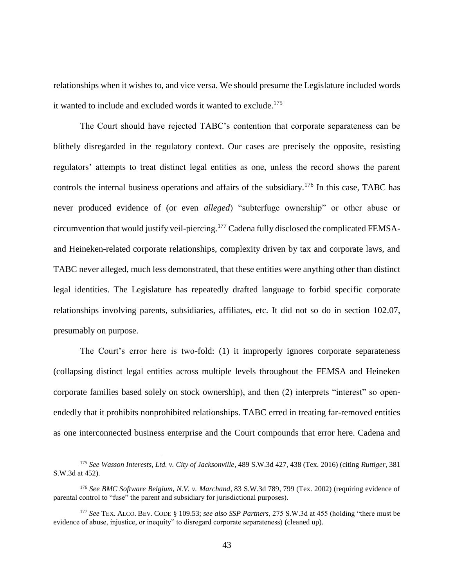relationships when it wishes to, and vice versa. We should presume the Legislature included words it wanted to include and excluded words it wanted to exclude.<sup>175</sup>

The Court should have rejected TABC's contention that corporate separateness can be blithely disregarded in the regulatory context. Our cases are precisely the opposite, resisting regulators' attempts to treat distinct legal entities as one, unless the record shows the parent controls the internal business operations and affairs of the subsidiary.<sup>176</sup> In this case, TABC has never produced evidence of (or even *alleged*) "subterfuge ownership" or other abuse or circumvention that would justify veil-piercing.<sup>177</sup> Cadena fully disclosed the complicated FEMSAand Heineken-related corporate relationships, complexity driven by tax and corporate laws, and TABC never alleged, much less demonstrated, that these entities were anything other than distinct legal identities. The Legislature has repeatedly drafted language to forbid specific corporate relationships involving parents, subsidiaries, affiliates, etc. It did not so do in section 102.07, presumably on purpose.

The Court's error here is two-fold: (1) it improperly ignores corporate separateness (collapsing distinct legal entities across multiple levels throughout the FEMSA and Heineken corporate families based solely on stock ownership), and then (2) interprets "interest" so openendedly that it prohibits nonprohibited relationships. TABC erred in treating far-removed entities as one interconnected business enterprise and the Court compounds that error here. Cadena and

<sup>175</sup> *See Wasson Interests, Ltd. v. City of Jacksonville*, 489 S.W.3d 427, 438 (Tex. 2016) (citing *Ruttiger*, 381 S.W.3d at 452).

<sup>176</sup> *See BMC Software Belgium, N.V. v. Marchand*, 83 S.W.3d 789, 799 (Tex. 2002) (requiring evidence of parental control to "fuse" the parent and subsidiary for jurisdictional purposes).

<sup>177</sup> *See* TEX. ALCO. BEV. CODE § 109.53; *see also SSP Partners*, 275 S.W.3d at 455 (holding "there must be evidence of abuse, injustice, or inequity" to disregard corporate separateness) (cleaned up).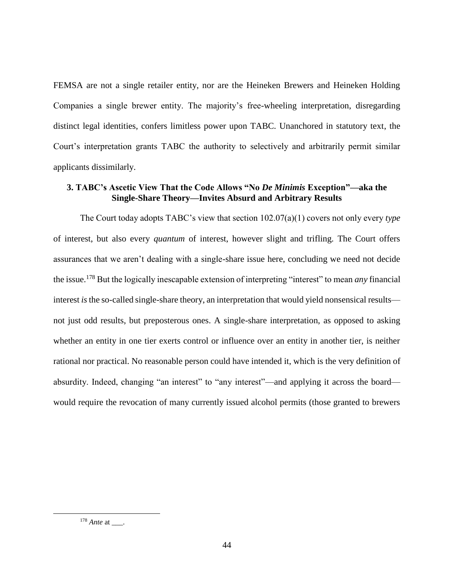FEMSA are not a single retailer entity, nor are the Heineken Brewers and Heineken Holding Companies a single brewer entity. The majority's free-wheeling interpretation, disregarding distinct legal identities, confers limitless power upon TABC. Unanchored in statutory text, the Court's interpretation grants TABC the authority to selectively and arbitrarily permit similar applicants dissimilarly.

## **3. TABC's Ascetic View That the Code Allows "No** *De Minimis* **Exception"—aka the Single-Share Theory—Invites Absurd and Arbitrary Results**

The Court today adopts TABC's view that section 102.07(a)(1) covers not only every *type* of interest, but also every *quantum* of interest, however slight and trifling. The Court offers assurances that we aren't dealing with a single-share issue here, concluding we need not decide the issue.<sup>178</sup> But the logically inescapable extension of interpreting "interest" to mean *any* financial interest *is*the so-called single-share theory, an interpretation that would yield nonsensical results not just odd results, but preposterous ones. A single-share interpretation, as opposed to asking whether an entity in one tier exerts control or influence over an entity in another tier, is neither rational nor practical. No reasonable person could have intended it, which is the very definition of absurdity. Indeed, changing "an interest" to "any interest"—and applying it across the board would require the revocation of many currently issued alcohol permits (those granted to brewers

<sup>&</sup>lt;sup>178</sup> *Ante* at \_\_\_\_.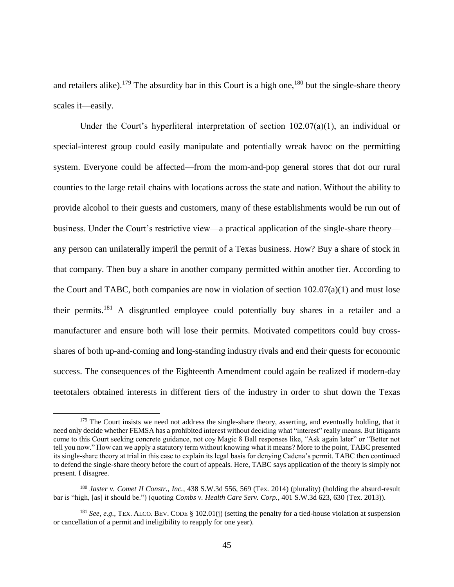and retailers alike).<sup>179</sup> The absurdity bar in this Court is a high one,<sup>180</sup> but the single-share theory scales it—easily.

Under the Court's hyperliteral interpretation of section  $102.07(a)(1)$ , an individual or special-interest group could easily manipulate and potentially wreak havoc on the permitting system. Everyone could be affected—from the mom-and-pop general stores that dot our rural counties to the large retail chains with locations across the state and nation. Without the ability to provide alcohol to their guests and customers, many of these establishments would be run out of business. Under the Court's restrictive view—a practical application of the single-share theory any person can unilaterally imperil the permit of a Texas business. How? Buy a share of stock in that company. Then buy a share in another company permitted within another tier. According to the Court and TABC, both companies are now in violation of section 102.07(a)(1) and must lose their permits.<sup>181</sup> A disgruntled employee could potentially buy shares in a retailer and a manufacturer and ensure both will lose their permits. Motivated competitors could buy crossshares of both up-and-coming and long-standing industry rivals and end their quests for economic success. The consequences of the Eighteenth Amendment could again be realized if modern-day teetotalers obtained interests in different tiers of the industry in order to shut down the Texas

<sup>&</sup>lt;sup>179</sup> The Court insists we need not address the single-share theory, asserting, and eventually holding, that it need only decide whether FEMSA has a prohibited interest without deciding what "interest" really means. But litigants come to this Court seeking concrete guidance, not coy Magic 8 Ball responses like, "Ask again later" or "Better not tell you now." How can we apply a statutory term without knowing what it means? More to the point, TABC presented its single-share theory at trial in this case to explain its legal basis for denying Cadena's permit. TABC then continued to defend the single-share theory before the court of appeals. Here, TABC says application of the theory is simply not present. I disagree.

<sup>180</sup> *Jaster v. Comet II Constr., Inc.*, 438 S.W.3d 556, 569 (Tex. 2014) (plurality) (holding the absurd-result bar is "high, [as] it should be.") (quoting *Combs v. Health Care Serv. Corp.*, 401 S.W.3d 623, 630 (Tex. 2013)).

<sup>181</sup> *See, e.g.*, TEX. ALCO. BEV. CODE § 102.01(j) (setting the penalty for a tied-house violation at suspension or cancellation of a permit and ineligibility to reapply for one year).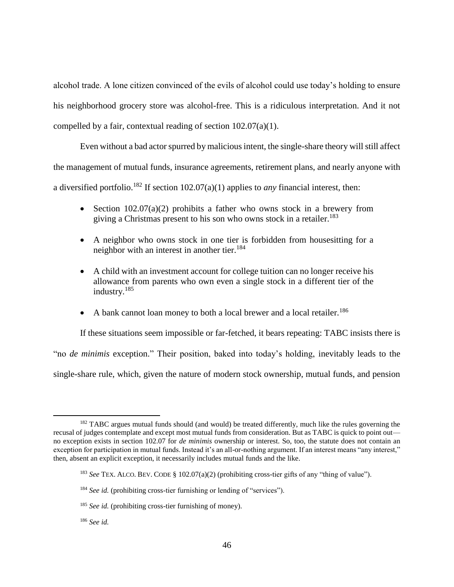alcohol trade. A lone citizen convinced of the evils of alcohol could use today's holding to ensure his neighborhood grocery store was alcohol-free. This is a ridiculous interpretation. And it not compelled by a fair, contextual reading of section 102.07(a)(1).

Even without a bad actor spurred by malicious intent, the single-share theory will still affect the management of mutual funds, insurance agreements, retirement plans, and nearly anyone with a diversified portfolio.<sup>182</sup> If section 102.07(a)(1) applies to *any* financial interest, then:

- Section  $102.07(a)(2)$  prohibits a father who owns stock in a brewery from giving a Christmas present to his son who owns stock in a retailer.<sup>183</sup>
- A neighbor who owns stock in one tier is forbidden from housesitting for a neighbor with an interest in another tier.<sup>184</sup>
- A child with an investment account for college tuition can no longer receive his allowance from parents who own even a single stock in a different tier of the industry.<sup>185</sup>
- A bank cannot loan money to both a local brewer and a local retailer.<sup>186</sup>

If these situations seem impossible or far-fetched, it bears repeating: TABC insists there is

"no *de minimis* exception." Their position, baked into today's holding, inevitably leads to the

single-share rule, which, given the nature of modern stock ownership, mutual funds, and pension

 $\overline{a}$ <sup>182</sup> TABC argues mutual funds should (and would) be treated differently, much like the rules governing the recusal of judges contemplate and except most mutual funds from consideration. But as TABC is quick to point out no exception exists in section 102.07 for *de minimis* ownership or interest. So, too, the statute does not contain an exception for participation in mutual funds. Instead it's an all-or-nothing argument. If an interest means "any interest," then, absent an explicit exception, it necessarily includes mutual funds and the like.

<sup>183</sup> *See* TEX. ALCO. BEV. CODE § 102.07(a)(2) (prohibiting cross-tier gifts of any "thing of value").

<sup>&</sup>lt;sup>184</sup> *See id.* (prohibiting cross-tier furnishing or lending of "services").

<sup>&</sup>lt;sup>185</sup> *See id.* (prohibiting cross-tier furnishing of money).

<sup>186</sup> *See id.*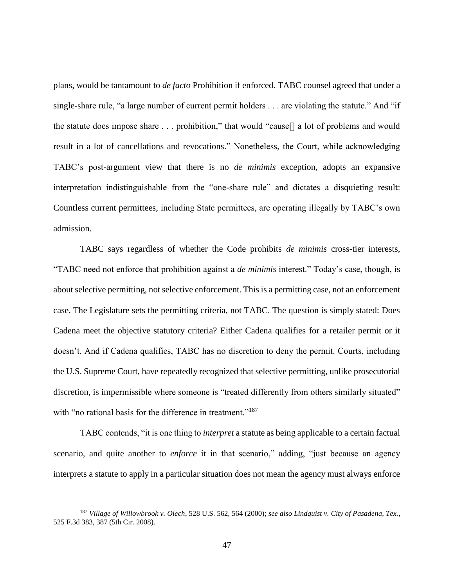plans, would be tantamount to *de facto* Prohibition if enforced. TABC counsel agreed that under a single-share rule, "a large number of current permit holders . . . are violating the statute." And "if the statute does impose share . . . prohibition," that would "cause[] a lot of problems and would result in a lot of cancellations and revocations." Nonetheless, the Court, while acknowledging TABC's post-argument view that there is no *de minimis* exception, adopts an expansive interpretation indistinguishable from the "one-share rule" and dictates a disquieting result: Countless current permittees, including State permittees, are operating illegally by TABC's own admission.

TABC says regardless of whether the Code prohibits *de minimis* cross-tier interests, "TABC need not enforce that prohibition against a *de minimis* interest." Today's case, though, is about selective permitting, not selective enforcement. This is a permitting case, not an enforcement case. The Legislature sets the permitting criteria, not TABC. The question is simply stated: Does Cadena meet the objective statutory criteria? Either Cadena qualifies for a retailer permit or it doesn't. And if Cadena qualifies, TABC has no discretion to deny the permit. Courts, including the U.S. Supreme Court, have repeatedly recognized that selective permitting, unlike prosecutorial discretion, is impermissible where someone is "treated differently from others similarly situated" with "no rational basis for the difference in treatment."<sup>187</sup>

TABC contends, "it is one thing to *interpret* a statute as being applicable to a certain factual scenario, and quite another to *enforce* it in that scenario," adding, "just because an agency interprets a statute to apply in a particular situation does not mean the agency must always enforce

<sup>187</sup> *Village of Willowbrook v. Olech*, 528 U.S. 562, 564 (2000); *see also Lindquist v. City of Pasadena, Tex.*, 525 F.3d 383, 387 (5th Cir. 2008).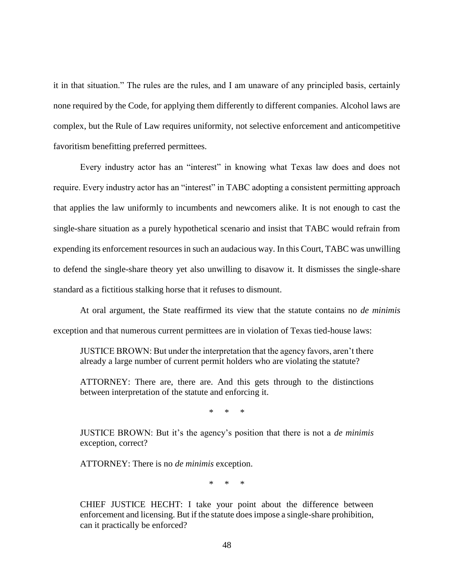it in that situation." The rules are the rules, and I am unaware of any principled basis, certainly none required by the Code, for applying them differently to different companies. Alcohol laws are complex, but the Rule of Law requires uniformity, not selective enforcement and anticompetitive favoritism benefitting preferred permittees.

Every industry actor has an "interest" in knowing what Texas law does and does not require. Every industry actor has an "interest" in TABC adopting a consistent permitting approach that applies the law uniformly to incumbents and newcomers alike. It is not enough to cast the single-share situation as a purely hypothetical scenario and insist that TABC would refrain from expending its enforcement resources in such an audacious way. In this Court, TABC was unwilling to defend the single-share theory yet also unwilling to disavow it. It dismisses the single-share standard as a fictitious stalking horse that it refuses to dismount.

At oral argument, the State reaffirmed its view that the statute contains no *de minimis* exception and that numerous current permittees are in violation of Texas tied-house laws:

JUSTICE BROWN: But under the interpretation that the agency favors, aren't there already a large number of current permit holders who are violating the statute?

ATTORNEY: There are, there are. And this gets through to the distinctions between interpretation of the statute and enforcing it.

\* \* \*

JUSTICE BROWN: But it's the agency's position that there is not a *de minimis* exception, correct?

ATTORNEY: There is no *de minimis* exception.

\* \* \*

CHIEF JUSTICE HECHT: I take your point about the difference between enforcement and licensing. But if the statute does impose a single-share prohibition, can it practically be enforced?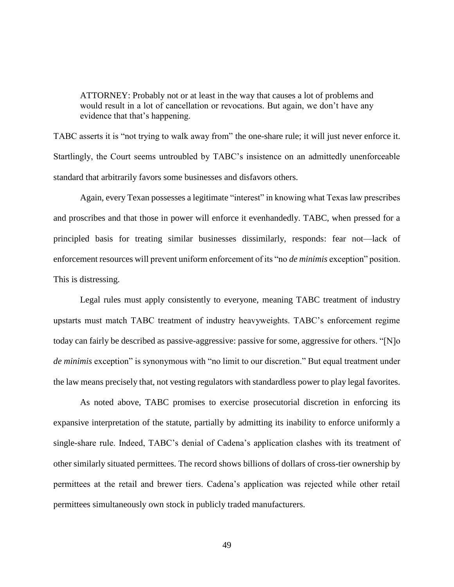ATTORNEY: Probably not or at least in the way that causes a lot of problems and would result in a lot of cancellation or revocations. But again, we don't have any evidence that that's happening.

TABC asserts it is "not trying to walk away from" the one-share rule; it will just never enforce it. Startlingly, the Court seems untroubled by TABC's insistence on an admittedly unenforceable standard that arbitrarily favors some businesses and disfavors others.

Again, every Texan possesses a legitimate "interest" in knowing what Texas law prescribes and proscribes and that those in power will enforce it evenhandedly. TABC, when pressed for a principled basis for treating similar businesses dissimilarly, responds: fear not—lack of enforcement resources will prevent uniform enforcement of its "no *de minimis* exception" position. This is distressing.

Legal rules must apply consistently to everyone, meaning TABC treatment of industry upstarts must match TABC treatment of industry heavyweights. TABC's enforcement regime today can fairly be described as passive-aggressive: passive for some, aggressive for others. "[N]o *de minimis* exception" is synonymous with "no limit to our discretion." But equal treatment under the law means precisely that, not vesting regulators with standardless power to play legal favorites.

As noted above, TABC promises to exercise prosecutorial discretion in enforcing its expansive interpretation of the statute, partially by admitting its inability to enforce uniformly a single-share rule. Indeed, TABC's denial of Cadena's application clashes with its treatment of other similarly situated permittees. The record shows billions of dollars of cross-tier ownership by permittees at the retail and brewer tiers. Cadena's application was rejected while other retail permittees simultaneously own stock in publicly traded manufacturers.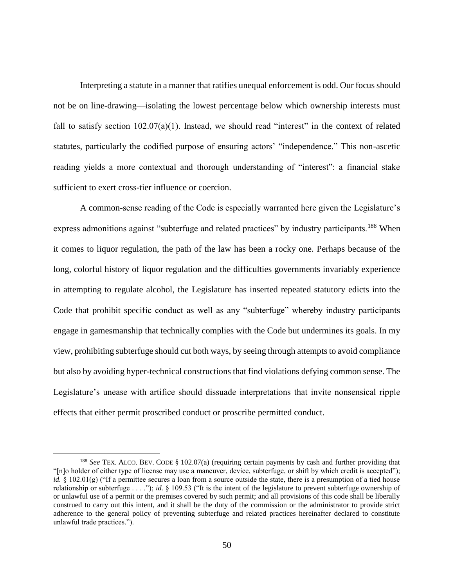Interpreting a statute in a manner that ratifies unequal enforcement is odd. Our focus should not be on line-drawing—isolating the lowest percentage below which ownership interests must fall to satisfy section  $102.07(a)(1)$ . Instead, we should read "interest" in the context of related statutes, particularly the codified purpose of ensuring actors' "independence." This non-ascetic reading yields a more contextual and thorough understanding of "interest": a financial stake sufficient to exert cross-tier influence or coercion.

A common-sense reading of the Code is especially warranted here given the Legislature's express admonitions against "subterfuge and related practices" by industry participants.<sup>188</sup> When it comes to liquor regulation, the path of the law has been a rocky one. Perhaps because of the long, colorful history of liquor regulation and the difficulties governments invariably experience in attempting to regulate alcohol, the Legislature has inserted repeated statutory edicts into the Code that prohibit specific conduct as well as any "subterfuge" whereby industry participants engage in gamesmanship that technically complies with the Code but undermines its goals. In my view, prohibiting subterfuge should cut both ways, by seeing through attempts to avoid compliance but also by avoiding hyper-technical constructions that find violations defying common sense. The Legislature's unease with artifice should dissuade interpretations that invite nonsensical ripple effects that either permit proscribed conduct or proscribe permitted conduct.

<sup>188</sup> *See* TEX. ALCO. BEV. CODE § 102.07(a) (requiring certain payments by cash and further providing that "[n]o holder of either type of license may use a maneuver, device, subterfuge, or shift by which credit is accepted"); *id.* § 102.01(g) ("If a permittee secures a loan from a source outside the state, there is a presumption of a tied house relationship or subterfuge . . . ."); *id.* § 109.53 ("It is the intent of the legislature to prevent subterfuge ownership of or unlawful use of a permit or the premises covered by such permit; and all provisions of this code shall be liberally construed to carry out this intent, and it shall be the duty of the commission or the administrator to provide strict adherence to the general policy of preventing subterfuge and related practices hereinafter declared to constitute unlawful trade practices.").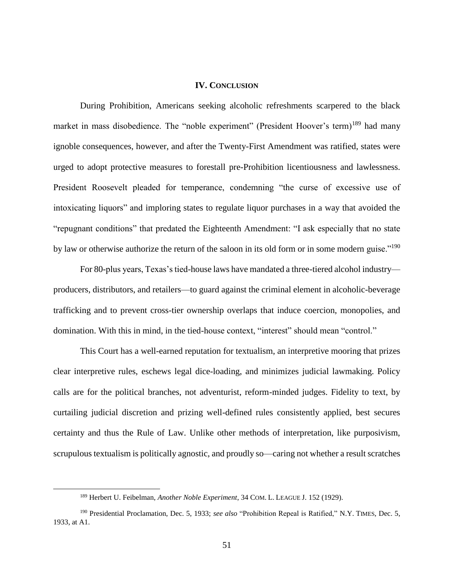## **IV. CONCLUSION**

During Prohibition, Americans seeking alcoholic refreshments scarpered to the black market in mass disobedience. The "noble experiment" (President Hoover's term)<sup>189</sup> had many ignoble consequences, however, and after the Twenty-First Amendment was ratified, states were urged to adopt protective measures to forestall pre-Prohibition licentiousness and lawlessness. President Roosevelt pleaded for temperance, condemning "the curse of excessive use of intoxicating liquors" and imploring states to regulate liquor purchases in a way that avoided the "repugnant conditions" that predated the Eighteenth Amendment: "I ask especially that no state by law or otherwise authorize the return of the saloon in its old form or in some modern guise."<sup>190</sup>

For 80-plus years, Texas's tied-house laws have mandated a three-tiered alcohol industry producers, distributors, and retailers—to guard against the criminal element in alcoholic-beverage trafficking and to prevent cross-tier ownership overlaps that induce coercion, monopolies, and domination. With this in mind, in the tied-house context, "interest" should mean "control."

This Court has a well-earned reputation for textualism, an interpretive mooring that prizes clear interpretive rules, eschews legal dice-loading, and minimizes judicial lawmaking. Policy calls are for the political branches, not adventurist, reform-minded judges. Fidelity to text, by curtailing judicial discretion and prizing well-defined rules consistently applied, best secures certainty and thus the Rule of Law. Unlike other methods of interpretation, like purposivism, scrupulous textualism is politically agnostic, and proudly so—caring not whether a result scratches

<sup>189</sup> Herbert U. Feibelman, *Another Noble Experiment*, 34 COM. L. LEAGUE J. 152 (1929).

<sup>190</sup> Presidential Proclamation, Dec. 5, 1933; *see also* "Prohibition Repeal is Ratified," N.Y. TIMES, Dec. 5, 1933, at A1.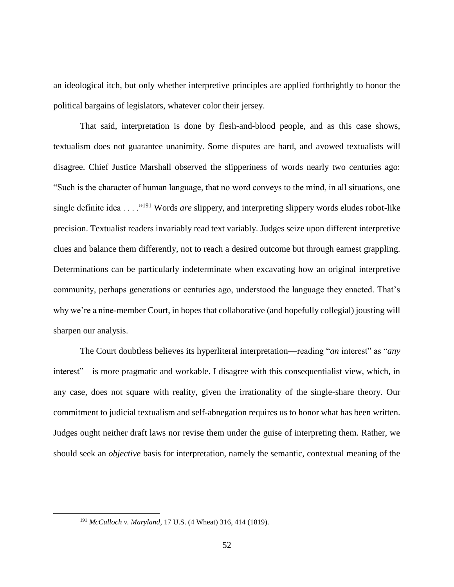an ideological itch, but only whether interpretive principles are applied forthrightly to honor the political bargains of legislators, whatever color their jersey.

That said, interpretation is done by flesh-and-blood people, and as this case shows, textualism does not guarantee unanimity. Some disputes are hard, and avowed textualists will disagree. Chief Justice Marshall observed the slipperiness of words nearly two centuries ago: "Such is the character of human language, that no word conveys to the mind, in all situations, one single definite idea . . . ."<sup>191</sup> Words *are* slippery, and interpreting slippery words eludes robot-like precision. Textualist readers invariably read text variably. Judges seize upon different interpretive clues and balance them differently, not to reach a desired outcome but through earnest grappling. Determinations can be particularly indeterminate when excavating how an original interpretive community, perhaps generations or centuries ago, understood the language they enacted. That's why we're a nine-member Court, in hopes that collaborative (and hopefully collegial) jousting will sharpen our analysis.

The Court doubtless believes its hyperliteral interpretation—reading "*an* interest" as "*any* interest"—is more pragmatic and workable. I disagree with this consequentialist view, which, in any case, does not square with reality, given the irrationality of the single-share theory. Our commitment to judicial textualism and self-abnegation requires us to honor what has been written. Judges ought neither draft laws nor revise them under the guise of interpreting them. Rather, we should seek an *objective* basis for interpretation, namely the semantic, contextual meaning of the

<sup>191</sup> *McCulloch v. Maryland*, 17 U.S. (4 Wheat) 316, 414 (1819).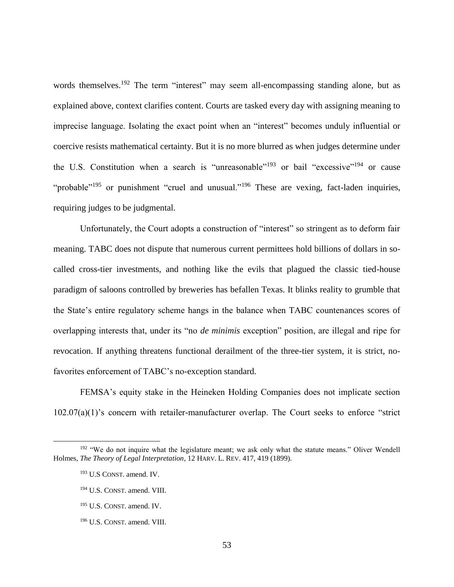words themselves.<sup>192</sup> The term "interest" may seem all-encompassing standing alone, but as explained above, context clarifies content. Courts are tasked every day with assigning meaning to imprecise language. Isolating the exact point when an "interest" becomes unduly influential or coercive resists mathematical certainty. But it is no more blurred as when judges determine under the U.S. Constitution when a search is "unreasonable"<sup>193</sup> or bail "excessive"<sup>194</sup> or cause "probable"<sup>195</sup> or punishment "cruel and unusual."<sup>196</sup> These are vexing, fact-laden inquiries, requiring judges to be judgmental.

Unfortunately, the Court adopts a construction of "interest" so stringent as to deform fair meaning. TABC does not dispute that numerous current permittees hold billions of dollars in socalled cross-tier investments, and nothing like the evils that plagued the classic tied-house paradigm of saloons controlled by breweries has befallen Texas. It blinks reality to grumble that the State's entire regulatory scheme hangs in the balance when TABC countenances scores of overlapping interests that, under its "no *de minimis* exception" position, are illegal and ripe for revocation. If anything threatens functional derailment of the three-tier system, it is strict, nofavorites enforcement of TABC's no-exception standard.

FEMSA's equity stake in the Heineken Holding Companies does not implicate section 102.07(a)(1)'s concern with retailer-manufacturer overlap. The Court seeks to enforce "strict

<sup>&</sup>lt;sup>192</sup> "We do not inquire what the legislature meant; we ask only what the statute means." Oliver Wendell Holmes, *The Theory of Legal Interpretation*, 12 HARV. L. REV. 417, 419 (1899).

<sup>193</sup> U.S CONST. amend. IV.

<sup>194</sup> U.S. CONST. amend. VIII.

<sup>195</sup> U.S. CONST. amend. IV.

<sup>196</sup> U.S. CONST. amend. VIII.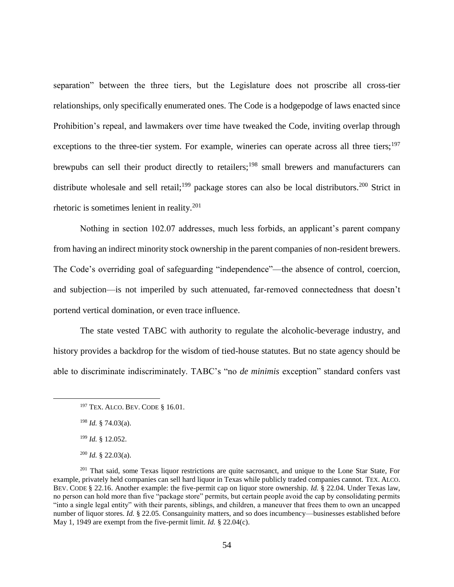separation" between the three tiers, but the Legislature does not proscribe all cross-tier relationships, only specifically enumerated ones. The Code is a hodgepodge of laws enacted since Prohibition's repeal, and lawmakers over time have tweaked the Code, inviting overlap through exceptions to the three-tier system. For example, wineries can operate across all three tiers;<sup>197</sup> brewpubs can sell their product directly to retailers;<sup>198</sup> small brewers and manufacturers can distribute wholesale and sell retail;<sup>199</sup> package stores can also be local distributors.<sup>200</sup> Strict in rhetoric is sometimes lenient in reality. $201$ 

Nothing in section 102.07 addresses, much less forbids, an applicant's parent company from having an indirect minority stock ownership in the parent companies of non-resident brewers. The Code's overriding goal of safeguarding "independence"—the absence of control, coercion, and subjection—is not imperiled by such attenuated, far-removed connectedness that doesn't portend vertical domination, or even trace influence.

The state vested TABC with authority to regulate the alcoholic-beverage industry, and history provides a backdrop for the wisdom of tied-house statutes. But no state agency should be able to discriminate indiscriminately. TABC's "no *de minimis* exception" standard confers vast

<sup>197</sup> TEX. ALCO. BEV. CODE § 16.01.

<sup>198</sup> *Id.* § 74.03(a).

<sup>199</sup> *Id.* § 12.052.

<sup>200</sup> *Id.* § 22.03(a).

<sup>&</sup>lt;sup>201</sup> That said, some Texas liquor restrictions are quite sacrosanct, and unique to the Lone Star State, For example, privately held companies can sell hard liquor in Texas while publicly traded companies cannot. TEX. ALCO. BEV. CODE § 22.16. Another example: the five-permit cap on liquor store ownership. *Id.* § 22.04. Under Texas law, no person can hold more than five "package store" permits, but certain people avoid the cap by consolidating permits "into a single legal entity" with their parents, siblings, and children, a maneuver that frees them to own an uncapped number of liquor stores. *Id.* § 22.05. Consanguinity matters, and so does incumbency—businesses established before May 1, 1949 are exempt from the five-permit limit. *Id.* § 22.04(c).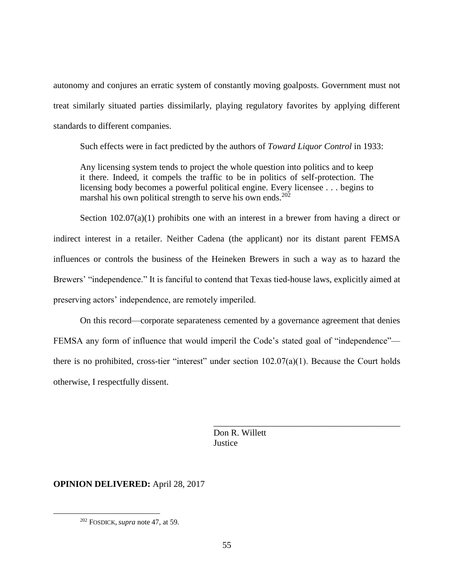autonomy and conjures an erratic system of constantly moving goalposts. Government must not treat similarly situated parties dissimilarly, playing regulatory favorites by applying different standards to different companies.

Such effects were in fact predicted by the authors of *Toward Liquor Control* in 1933:

Any licensing system tends to project the whole question into politics and to keep it there. Indeed, it compels the traffic to be in politics of self-protection. The licensing body becomes a powerful political engine. Every licensee . . . begins to marshal his own political strength to serve his own ends.<sup>202</sup>

Section 102.07(a)(1) prohibits one with an interest in a brewer from having a direct or indirect interest in a retailer. Neither Cadena (the applicant) nor its distant parent FEMSA influences or controls the business of the Heineken Brewers in such a way as to hazard the Brewers' "independence." It is fanciful to contend that Texas tied-house laws, explicitly aimed at preserving actors' independence, are remotely imperiled.

On this record—corporate separateness cemented by a governance agreement that denies FEMSA any form of influence that would imperil the Code's stated goal of "independence" there is no prohibited, cross-tier "interest" under section  $102.07(a)(1)$ . Because the Court holds otherwise, I respectfully dissent.

> \_\_\_\_\_\_\_\_\_\_\_\_\_\_\_\_\_\_\_\_\_\_\_\_\_\_\_\_\_\_\_\_\_\_\_\_\_\_\_\_\_\_ Don R. Willett **Justice**

## **OPINION DELIVERED:** April 28, 2017

<sup>202</sup> FOSDICK, *supra* note 47, at 59.